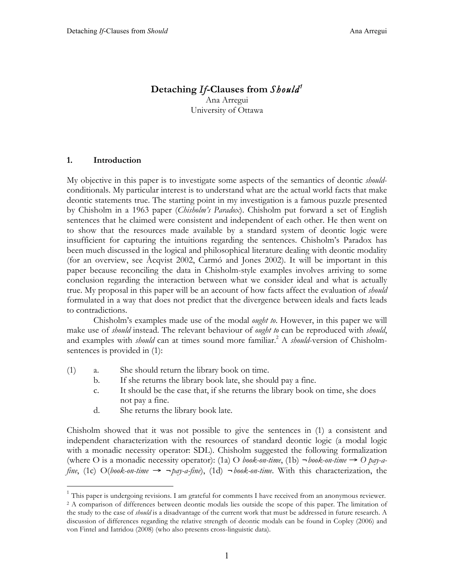## **Detaching** *If***-Clauses from** *Should <sup>1</sup>* Ana Arregui University of Ottawa

#### **1. Introduction**

 $\overline{a}$ 

My objective in this paper is to investigate some aspects of the semantics of deontic *should*conditionals. My particular interest is to understand what are the actual world facts that make deontic statements true. The starting point in my investigation is a famous puzzle presented by Chisholm in a 1963 paper (*Chisholm's Paradox*). Chisholm put forward a set of English sentences that he claimed were consistent and independent of each other. He then went on to show that the resources made available by a standard system of deontic logic were insufficient for capturing the intuitions regarding the sentences. Chisholm's Paradox has been much discussed in the logical and philosophical literature dealing with deontic modality (for an overview, see Åcqvist 2002, Carmó and Jones 2002). It will be important in this paper because reconciling the data in Chisholm-style examples involves arriving to some conclusion regarding the interaction between what we consider ideal and what is actually true. My proposal in this paper will be an account of how facts affect the evaluation of *should* formulated in a way that does not predict that the divergence between ideals and facts leads to contradictions.

Chisholm's examples made use of the modal *ought to*. However, in this paper we will make use of *should* instead. The relevant behaviour of *ought to* can be reproduced with *should*, and examples with *should* can at times sound more familiar.<sup>2</sup> A *should*-version of Chisholmsentences is provided in (1):

- (1) a. She should return the library book on time.
	- b. If she returns the library book late, she should pay a fine.
	- c. It should be the case that, if she returns the library book on time, she does not pay a fine.
	- d. She returns the library book late.

Chisholm showed that it was not possible to give the sentences in (1) a consistent and independent characterization with the resources of standard deontic logic (a modal logic with a monadic necessity operator: SDL). Chisholm suggested the following formalization (where O is a monadic necessity operator): (1a) O *book-on-time*, (1b) ¬*book-on-time* → *O pay-afine*, (1c) O(*book-on-time* → ¬*pay-a-fine*), (1d) ¬*book-on-time*. With this characterization, the

 $1$  This paper is undergoing revisions. I am grateful for comments I have received from an anonymous reviewer. <sup>2</sup> A comparison of differences between deontic modals lies outside the scope of this paper. The limitation of the study to the case of *should* is a disadvantage of the current work that must be addressed in future research. A discussion of differences regarding the relative strength of deontic modals can be found in Copley (2006) and von Fintel and Iatridou (2008) (who also presents cross-linguistic data).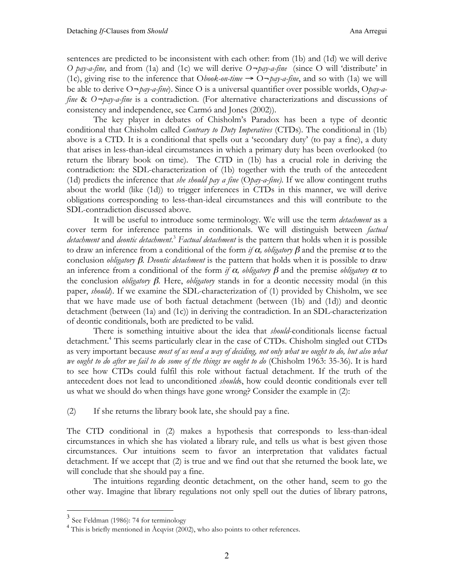sentences are predicted to be inconsistent with each other: from (1b) and (1d) we will derive *O pay-a-fine,* and from (1a) and (1c) we will derive *O*¬*pay-a-fine* (since O will 'distribute' in (1c), giving rise to the inference that  $O\text{book-on-time} \rightarrow O \rightarrow \text{pay-a-fine}$ , and so with (1a) we will be able to derive O¬*pay-a-fine*). Since O is a universal quantifier over possible worlds, O*pay-afine* & *O*¬*pay-a-fine* is a contradiction. (For alternative characterizations and discussions of consistency and independence, see Carmó and Jones (2002)).

The key player in debates of Chisholm's Paradox has been a type of deontic conditional that Chisholm called *Contrary to Duty Imperatives* (CTDs). The conditional in (1b) above is a CTD. It is a conditional that spells out a 'secondary duty' (to pay a fine), a duty that arises in less-than-ideal circumstances in which a primary duty has been overlooked (to return the library book on time). The CTD in (1b) has a crucial role in deriving the contradiction: the SDL-characterization of (1b) together with the truth of the antecedent (1d) predicts the inference that *she should pay a fine* (O*pay-a-fine).* If we allow contingent truths about the world (like (1d)) to trigger inferences in CTDs in this manner, we will derive obligations corresponding to less-than-ideal circumstances and this will contribute to the SDL-contradiction discussed above.

It will be useful to introduce some terminology. We will use the term *detachment* as a cover term for inference patterns in conditionals. We will distinguish between *factual detachment* and *deontic detachment*. <sup>3</sup> *Factual detachment* is the pattern that holds when it is possible to draw an inference from a conditional of the form *if* α*, obligatory* β and the premise α to the conclusion *obligatory* β. *Deontic detachment* is the pattern that holds when it is possible to draw an inference from a conditional of the form *if*  $\alpha$ *, obligatory*  $\beta$  and the premise *obligatory*  $\alpha$  to the conclusion *obligatory* β. Here, *obligatory* stands in for a deontic necessity modal (in this paper, *should*). If we examine the SDL-characterization of (1) provided by Chisholm, we see that we have made use of both factual detachment (between (1b) and (1d)) and deontic detachment (between (1a) and (1c)) in deriving the contradiction. In an SDL-characterization of deontic conditionals, both are predicted to be valid.

There is something intuitive about the idea that *should*-conditionals license factual detachment.<sup>4</sup> This seems particularly clear in the case of CTDs. Chisholm singled out CTDs as very important because *most of us need a way of deciding, not only what we ought to do, but also what we ought to do after we fail to do some of the things we ought to do* (Chisholm 1963: 35-36). It is hard to see how CTDs could fulfil this role without factual detachment. If the truth of the antecedent does not lead to unconditioned *should*s, how could deontic conditionals ever tell us what we should do when things have gone wrong? Consider the example in (2):

(2) If she returns the library book late, she should pay a fine.

The CTD conditional in (2) makes a hypothesis that corresponds to less-than-ideal circumstances in which she has violated a library rule, and tells us what is best given those circumstances. Our intuitions seem to favor an interpretation that validates factual detachment. If we accept that (2) is true and we find out that she returned the book late, we will conclude that she should pay a fine.

The intuitions regarding deontic detachment, on the other hand, seem to go the other way. Imagine that library regulations not only spell out the duties of library patrons,

 $3$  See Feldman (1986): 74 for terminology

<sup>&</sup>lt;sup>4</sup> This is briefly mentioned in Åcqvist (2002), who also points to other references.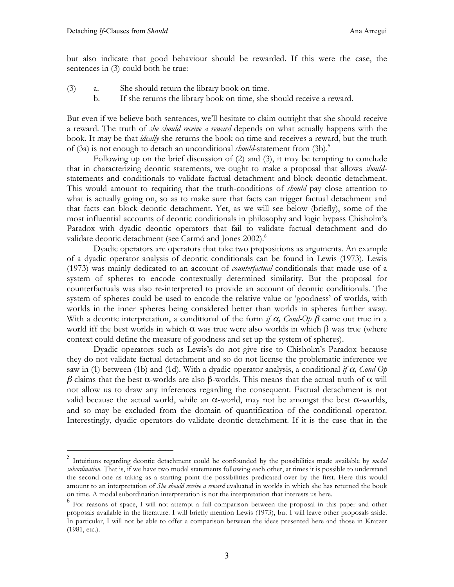but also indicate that good behaviour should be rewarded. If this were the case, the sentences in (3) could both be true:

- (3) a. She should return the library book on time.
	- b. If she returns the library book on time, she should receive a reward.

But even if we believe both sentences, we'll hesitate to claim outright that she should receive a reward. The truth of *she should receive a reward* depends on what actually happens with the book. It may be that *ideally* she returns the book on time and receives a reward, but the truth of (3a) is not enough to detach an unconditional *should*-statement from (3b).<sup>5</sup>

Following up on the brief discussion of (2) and (3), it may be tempting to conclude that in characterizing deontic statements, we ought to make a proposal that allows *should*statements and conditionals to validate factual detachment and block deontic detachment. This would amount to requiring that the truth-conditions of *should* pay close attention to what is actually going on, so as to make sure that facts can trigger factual detachment and that facts can block deontic detachment. Yet, as we will see below (briefly), some of the most influential accounts of deontic conditionals in philosophy and logic bypass Chisholm's Paradox with dyadic deontic operators that fail to validate factual detachment and do validate deontic detachment (see Carmó and Jones 2002).<sup>6</sup>

Dyadic operators are operators that take two propositions as arguments. An example of a dyadic operator analysis of deontic conditionals can be found in Lewis (1973). Lewis (1973) was mainly dedicated to an account of *counterfactual* conditionals that made use of a system of spheres to encode contextually determined similarity. But the proposal for counterfactuals was also re-interpreted to provide an account of deontic conditionals. The system of spheres could be used to encode the relative value or 'goodness' of worlds, with worlds in the inner spheres being considered better than worlds in spheres further away. With a deontic interpretation, a conditional of the form *if*  $\alpha$ , Cond-Op  $\beta$  came out true in a world iff the best worlds in which  $\alpha$  was true were also worlds in which  $\beta$  was true (where context could define the measure of goodness and set up the system of spheres).

Dyadic operators such as Lewis's do not give rise to Chisholm's Paradox because they do not validate factual detachment and so do not license the problematic inference we saw in (1) between (1b) and (1d). With a dyadic-operator analysis, a conditional *if* α*, Cond-Op*   $β$  claims that the best α-worlds are also β-worlds. This means that the actual truth of α will not allow us to draw any inferences regarding the consequent. Factual detachment is not valid because the actual world, while an  $\alpha$ -world, may not be amongst the best  $\alpha$ -worlds, and so may be excluded from the domain of quantification of the conditional operator. Interestingly, dyadic operators do validate deontic detachment. If it is the case that in the

 <sup>5</sup> Intuitions regarding deontic detachment could be confounded by the possibilities made available by *modal subordination.* That is, if we have two modal statements following each other, at times it is possible to understand the second one as taking as a starting point the possibilities predicated over by the first. Here this would amount to an interpretation of *She should receive a reward* evaluated in worlds in which she has returned the book on time. A modal subordination interpretation is not the interpretation that interests us here.

<sup>6</sup> For reasons of space, I will not attempt a full comparison between the proposal in this paper and other proposals available in the literature. I will briefly mention Lewis (1973), but I will leave other proposals aside. In particular, I will not be able to offer a comparison between the ideas presented here and those in Kratzer (1981, etc.).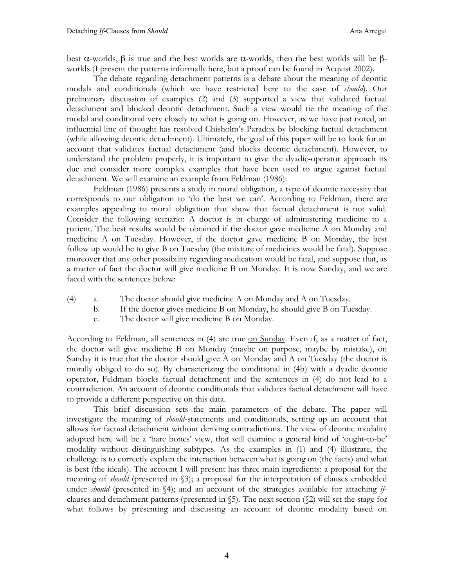best  $\alpha$ -worlds,  $\beta$  is true and the best worlds are  $\alpha$ -worlds, then the best worlds will be  $\beta$ worlds (I present the patterns informally here, but a proof can be found in Acqvist 2002).

The debate regarding detachment patterns is a debate about the meaning of deontic modals and conditionals (which we have restricted here to the case of *should*). Our preliminary discussion of examples (2) and (3) supported a view that validated factual detachment and blocked deontic detachment. Such a view would tie the meaning of the modal and conditional very closely to what is going on. However, as we have just noted, an influential line of thought has resolved Chisholm's Paradox by blocking factual detachment (while allowing deontic detachment). Ultimately, the goal of this paper will be to look for an account that validates factual detachment (and blocks deontic detachment). However, to understand the problem properly, it is important to give the dyadic-operator approach its due and consider more complex examples that have been used to argue against factual detachment. We will examine an example from Feldman (1986):

Feldman (1986) presents a study in moral obligation, a type of deontic necessity that corresponds to our obligation to 'do the best we can'. According to Feldman, there are examples appealing to moral obligation that show that factual detachment is not valid. Consider the following scenario: A doctor is in charge of administering medicine to a patient. The best results would be obtained if the doctor gave medicine A on Monday and medicine A on Tuesday. However, if the doctor gave medicine B on Monday, the best follow up would be to give B on Tuesday (the mixture of medicines would be fatal). Suppose moreover that any other possibility regarding medication would be fatal, and suppose that, as a matter of fact the doctor will give medicine B on Monday. It is now Sunday, and we are faced with the sentences below:

- (4) a. The doctor should give medicine A on Monday and A on Tuesday.
	- b. If the doctor gives medicine B on Monday, he should give B on Tuesday.
		- c. The doctor will give medicine B on Monday.

According to Feldman, all sentences in (4) are true on Sunday. Even if, as a matter of fact, the doctor will give medicine B on Monday (maybe on purpose, maybe by mistake), on Sunday it is true that the doctor should give A on Monday and A on Tuesday (the doctor is morally obliged to do so). By characterizing the conditional in (4b) with a dyadic deontic operator, Feldman blocks factual detachment and the sentences in (4) do not lead to a contradiction. An account of deontic conditionals that validates factual detachment will have to provide a different perspective on this data.

This brief discussion sets the main parameters of the debate. The paper will investigate the meaning of *should*-statements and conditionals, setting up an account that allows for factual detachment without deriving contradictions. The view of deontic modality adopted here will be a 'bare bones' view, that will examine a general kind of 'ought-to-be' modality without distinguishing subtypes. As the examples in (1) and (4) illustrate, the challenge is to correctly explain the interaction between what is going on (the facts) and what is best (the ideals). The account I will present has three main ingredients: a proposal for the meaning of *should* (presented in §3); a proposal for the interpretation of clauses embedded under *should* (presented in §4); and an account of the strategies available for attaching *if*clauses and detachment patterns (presented in §5). The next section (§2) will set the stage for what follows by presenting and discussing an account of deontic modality based on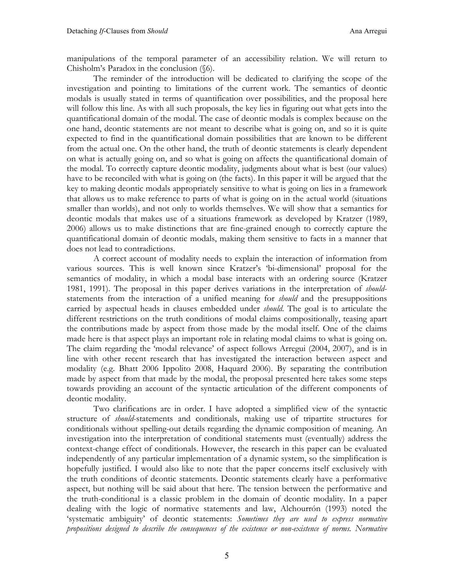manipulations of the temporal parameter of an accessibility relation. We will return to Chisholm's Paradox in the conclusion (§6).

The reminder of the introduction will be dedicated to clarifying the scope of the investigation and pointing to limitations of the current work. The semantics of deontic modals is usually stated in terms of quantification over possibilities, and the proposal here will follow this line. As with all such proposals, the key lies in figuring out what gets into the quantificational domain of the modal. The case of deontic modals is complex because on the one hand, deontic statements are not meant to describe what is going on, and so it is quite expected to find in the quantificational domain possibilities that are known to be different from the actual one. On the other hand, the truth of deontic statements is clearly dependent on what is actually going on, and so what is going on affects the quantificational domain of the modal. To correctly capture deontic modality, judgments about what is best (our values) have to be reconciled with what is going on (the facts). In this paper it will be argued that the key to making deontic modals appropriately sensitive to what is going on lies in a framework that allows us to make reference to parts of what is going on in the actual world (situations smaller than worlds), and not only to worlds themselves. We will show that a semantics for deontic modals that makes use of a situations framework as developed by Kratzer (1989, 2006) allows us to make distinctions that are fine-grained enough to correctly capture the quantificational domain of deontic modals, making them sensitive to facts in a manner that does not lead to contradictions.

A correct account of modality needs to explain the interaction of information from various sources. This is well known since Kratzer's 'bi-dimensional' proposal for the semantics of modality, in which a modal base interacts with an ordering source (Kratzer 1981, 1991). The proposal in this paper derives variations in the interpretation of *should*statements from the interaction of a unified meaning for *should* and the presuppositions carried by aspectual heads in clauses embedded under *should*. The goal is to articulate the different restrictions on the truth conditions of modal claims compositionally, teasing apart the contributions made by aspect from those made by the modal itself. One of the claims made here is that aspect plays an important role in relating modal claims to what is going on. The claim regarding the 'modal relevance' of aspect follows Arregui (2004, 2007), and is in line with other recent research that has investigated the interaction between aspect and modality (e.g. Bhatt 2006 Ippolito 2008, Haquard 2006). By separating the contribution made by aspect from that made by the modal, the proposal presented here takes some steps towards providing an account of the syntactic articulation of the different components of deontic modality.

Two clarifications are in order. I have adopted a simplified view of the syntactic structure of *should*-statements and conditionals, making use of tripartite structures for conditionals without spelling-out details regarding the dynamic composition of meaning. An investigation into the interpretation of conditional statements must (eventually) address the context-change effect of conditionals. However, the research in this paper can be evaluated independently of any particular implementation of a dynamic system, so the simplification is hopefully justified. I would also like to note that the paper concerns itself exclusively with the truth conditions of deontic statements. Deontic statements clearly have a performative aspect, but nothing will be said about that here. The tension between the performative and the truth-conditional is a classic problem in the domain of deontic modality. In a paper dealing with the logic of normative statements and law, Alchourrón (1993) noted the 'systematic ambiguity' of deontic statements: *Sometimes they are used to express normative propositions designed to describe the consequences of the existence or non-existence of norms. Normative*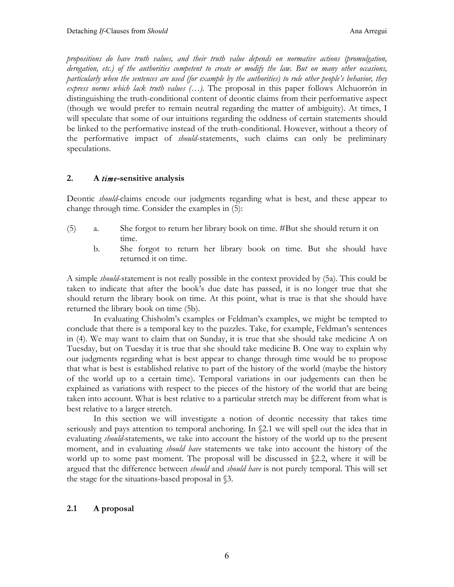*propositions do have truth values, and their truth value depends on normative actions (promulgation, derogation, etc.) of the authorities competent to create or modify the law. But on many other occasions, particularly when the sentences are used (for example by the authorities) to rule other people's behavior, they express norms which lack truth values (…).* The proposal in this paper follows Alchuorrón in distinguishing the truth-conditional content of deontic claims from their performative aspect (though we would prefer to remain neutral regarding the matter of ambiguity). At times, I will speculate that some of our intuitions regarding the oddness of certain statements should be linked to the performative instead of the truth-conditional. However, without a theory of the performative impact of *should*-statements, such claims can only be preliminary speculations.

#### **2. A** *time***-sensitive analysis**

Deontic *should*-claims encode our judgments regarding what is best, and these appear to change through time. Consider the examples in (5):

- (5) a. She forgot to return her library book on time. #But she should return it on time.
	- b. She forgot to return her library book on time. But she should have returned it on time.

A simple *should*-statement is not really possible in the context provided by (5a). This could be taken to indicate that after the book's due date has passed, it is no longer true that she should return the library book on time. At this point, what is true is that she should have returned the library book on time (5b).

In evaluating Chisholm's examples or Feldman's examples, we might be tempted to conclude that there is a temporal key to the puzzles. Take, for example, Feldman's sentences in (4). We may want to claim that on Sunday, it is true that she should take medicine A on Tuesday, but on Tuesday it is true that she should take medicine B. One way to explain why our judgments regarding what is best appear to change through time would be to propose that what is best is established relative to part of the history of the world (maybe the history of the world up to a certain time). Temporal variations in our judgements can then be explained as variations with respect to the pieces of the history of the world that are being taken into account. What is best relative to a particular stretch may be different from what is best relative to a larger stretch.

In this section we will investigate a notion of deontic necessity that takes time seriously and pays attention to temporal anchoring. In §2.1 we will spell out the idea that in evaluating *should-*statements, we take into account the history of the world up to the present moment, and in evaluating *should have* statements we take into account the history of the world up to some past moment. The proposal will be discussed in §2.2, where it will be argued that the difference between *should* and *should have* is not purely temporal. This will set the stage for the situations-based proposal in §3.

## **2.1 A proposal**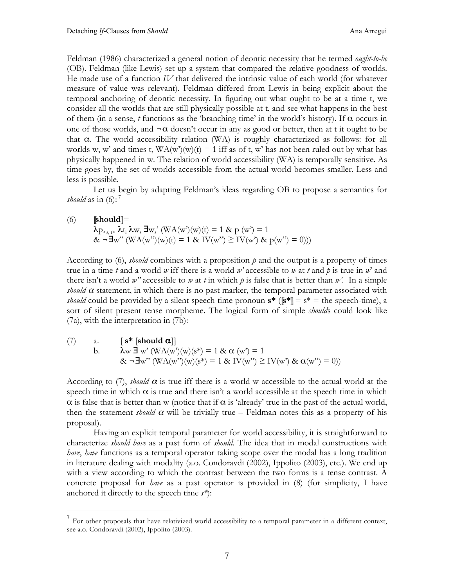Feldman (1986) characterized a general notion of deontic necessity that he termed *ought-to-be*  (OB). Feldman (like Lewis) set up a system that compared the relative goodness of worlds. He made use of a function *IV* that delivered the intrinsic value of each world (for whatever measure of value was relevant). Feldman differed from Lewis in being explicit about the temporal anchoring of deontic necessity. In figuring out what ought to be at a time t, we consider all the worlds that are still physically possible at t, and see what happens in the best of them (in a sense, *t* functions as the 'branching time' in the world's history). If  $\alpha$  occurs in one of those worlds, and  $\neg \alpha$  doesn't occur in any as good or better, then at t it ought to be that  $\alpha$ . The world accessibility relation (WA) is roughly characterized as follows: for all worlds w, w' and times t,  $WA(w')(w)(t) = 1$  iff as of t, w' has not been ruled out by what has physically happened in w. The relation of world accessibility (WA) is temporally sensitive. As time goes by, the set of worlds accessible from the actual world becomes smaller. Less and less is possible.

Let us begin by adapting Feldman's ideas regarding OB to propose a semantics for *should* as in  $(6)$ :

 $(6)$  [**should**] =  $\lambda_{p_{\leq s, t}} \lambda_{t_i} \lambda_{w_s} \exists w_{s'} (WA(w')(w)(t)) = 1 \& p(w') = 1$ & ¬**∃**w" (WA(w")(w)(t) = 1 & IV(w") ≥ IV(w") &  $p(w") = 0$ )))

According to (6), *should* combines with a proposition *p* and the output is a property of times true in a time *t* and a world *w* iff there is a world *w'* accessible to *w* at *t* and *p* is true in *w*' and there isn't a world *w*" accessible to *w* at *t* in which  $p$  is false that is better than *w*'. In a simple *should*  $\alpha$  statement, in which there is no past marker, the temporal parameter associated with *should* could be provided by a silent speech time pronoun  $s^*$  ( $[s^*] = s^* =$  the speech-time), a sort of silent present tense morpheme. The logical form of simple *should*s could look like (7a), with the interpretation in (7b):

\n- (7) a. 
$$
[s^* \text{ [should } \alpha]]
$$
\n- b.  $\lambda w \exists w' (WA(w')(w)(s^*) = 1 \& \alpha(w') = 1$
\n- $\& \neg \exists w'' (WA(w'')(w)(s^*) = 1 \& \text{IV}(w'') \geq \text{IV}(w') \& \alpha(w'') = 0)$
\n

According to (7), *should*  $\alpha$  is true iff there is a world w accessible to the actual world at the speech time in which  $\alpha$  is true and there isn't a world accessible at the speech time in which  $\alpha$  is false that is better than w (notice that if  $\alpha$  is 'already' true in the past of the actual world, then the statement *should*  $\alpha$  will be trivially true – Feldman notes this as a property of his proposal).

Having an explicit temporal parameter for world accessibility, it is straightforward to characterize *should have* as a past form of *should*. The idea that in modal constructions with *have*, *have* functions as a temporal operator taking scope over the modal has a long tradition in literature dealing with modality (a.o. Condoravdi (2002), Ippolito (2003), etc.). We end up with a view according to which the contrast between the two forms is a tense contrast. A concrete proposal for *have* as a past operator is provided in (8) (for simplicity, I have anchored it directly to the speech time *s\**):

 <sup>7</sup> For other proposals that have relativized world accessibility to a temporal parameter in a different context, see a.o. Condoravdi (2002), Ippolito (2003).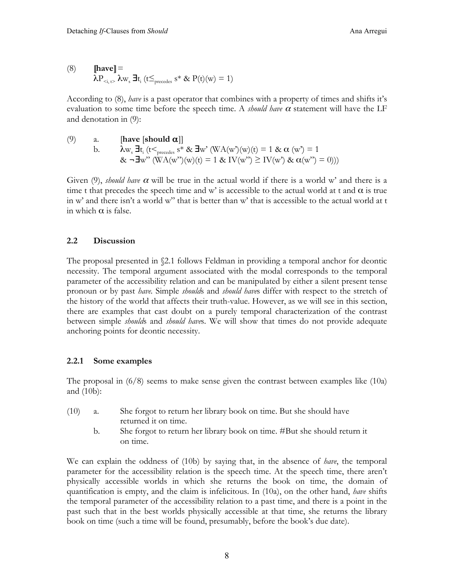$(8)$  [**have**]] =  $\lambda P_{\leq i, t>} \lambda w_s \exists t_i$  (t $\leq$ <sub>precedes</sub> s\* & P(t)(w) = 1)

According to (8), *have* is a past operator that combines with a property of times and shifts it's evaluation to some time before the speech time. A *should have*  $\alpha$  statement will have the LF and denotation in (9):

- (9) a. [**have** [**should** α]]
	-
- b.  $\lambda w_s = t_i$  (t< <sub>precedes</sub> s\* &  $\exists w'$  (WA(w')(w)(t) = 1 &  $\alpha$  (w') = 1  $\& \neg \exists w'' (\dot{W} A(w'') (w)(t) = 1 \& \text{IV}(w'') \geq \text{IV}(w') \& \alpha(w'') = 0))$

Given (9), *should have*  $\alpha$  will be true in the actual world if there is a world w' and there is a time t that precedes the speech time and w' is accessible to the actual world at t and  $\alpha$  is true in w' and there isn't a world w" that is better than w' that is accessible to the actual world at t in which  $\alpha$  is false.

## **2.2 Discussion**

The proposal presented in §2.1 follows Feldman in providing a temporal anchor for deontic necessity. The temporal argument associated with the modal corresponds to the temporal parameter of the accessibility relation and can be manipulated by either a silent present tense pronoun or by past *have.* Simple *should*s and *should have*s differ with respect to the stretch of the history of the world that affects their truth-value. However, as we will see in this section, there are examples that cast doubt on a purely temporal characterization of the contrast between simple *should*s and *should have*s. We will show that times do not provide adequate anchoring points for deontic necessity.

## **2.2.1 Some examples**

The proposal in (6/8) seems to make sense given the contrast between examples like (10a) and (10b):

- (10) a. She forgot to return her library book on time. But she should have returned it on time.
	- b. She forgot to return her library book on time. #But she should return it on time.

We can explain the oddness of (10b) by saying that, in the absence of *have*, the temporal parameter for the accessibility relation is the speech time. At the speech time, there aren't physically accessible worlds in which she returns the book on time, the domain of quantification is empty, and the claim is infelicitous. In (10a), on the other hand, *have* shifts the temporal parameter of the accessibility relation to a past time, and there is a point in the past such that in the best worlds physically accessible at that time, she returns the library book on time (such a time will be found, presumably, before the book's due date).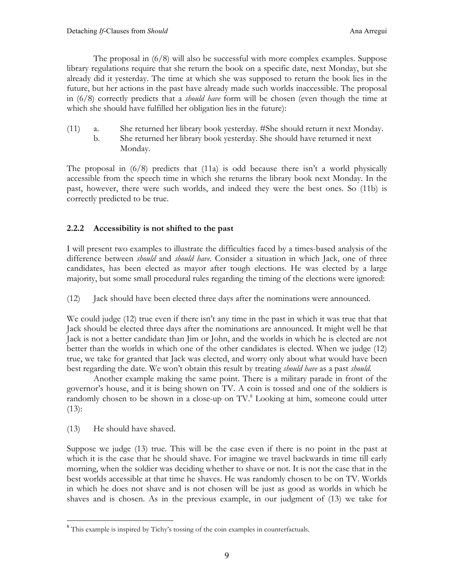The proposal in (6/8) will also be successful with more complex examples. Suppose library regulations require that she return the book on a specific date, next Monday, but she already did it yesterday. The time at which she was supposed to return the book lies in the future, but her actions in the past have already made such worlds inaccessible. The proposal in (6/8) correctly predicts that a *should have* form will be chosen (even though the time at which she should have fulfilled her obligation lies in the future):

(11) a. She returned her library book yesterday. #She should return it next Monday. b. She returned her library book yesterday. She should have returned it next Monday.

The proposal in  $(6/8)$  predicts that  $(11a)$  is odd because there isn't a world physically accessible from the speech time in which she returns the library book next Monday. In the past, however, there were such worlds, and indeed they were the best ones. So (11b) is correctly predicted to be true.

# **2.2.2 Accessibility is not shifted to the past**

I will present two examples to illustrate the difficulties faced by a times-based analysis of the difference between *should* and *should have*. Consider a situation in which Jack, one of three candidates, has been elected as mayor after tough elections. He was elected by a large majority, but some small procedural rules regarding the timing of the elections were ignored:

(12) Jack should have been elected three days after the nominations were announced.

We could judge (12) true even if there isn't any time in the past in which it was true that that Jack should be elected three days after the nominations are announced. It might well be that Jack is not a better candidate than Jim or John, and the worlds in which he is elected are not better than the worlds in which one of the other candidates is elected. When we judge (12) true, we take for granted that Jack was elected, and worry only about what would have been best regarding the date. We won't obtain this result by treating *should have* as a past *should*.

Another example making the same point. There is a military parade in front of the governor's house, and it is being shown on TV. A coin is tossed and one of the soldiers is randomly chosen to be shown in a close-up on TV.<sup>8</sup> Looking at him, someone could utter  $(13)$ :

(13) He should have shaved.

Suppose we judge (13) true. This will be the case even if there is no point in the past at which it is the case that he should shave. For imagine we travel backwards in time till early morning, when the soldier was deciding whether to shave or not. It is not the case that in the best worlds accessible at that time he shaves. He was randomly chosen to be on TV. Worlds in which he does not shave and is not chosen will be just as good as worlds in which he shaves and is chosen. As in the previous example, in our judgment of (13) we take for

 <sup>8</sup> <sup>8</sup> This example is inspired by Tichy's tossing of the coin examples in counterfactuals.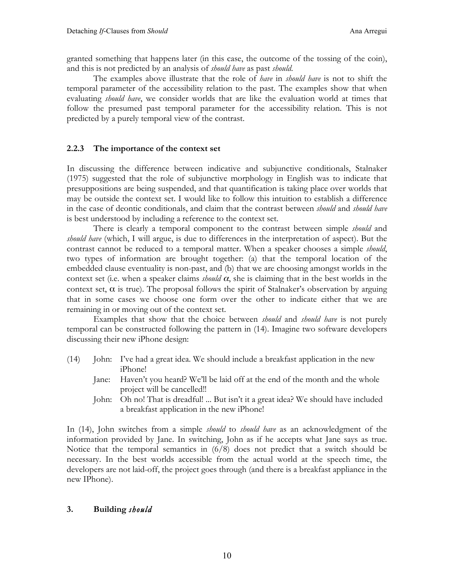granted something that happens later (in this case, the outcome of the tossing of the coin), and this is not predicted by an analysis of *should have* as past *should*.

The examples above illustrate that the role of *have* in *should have* is not to shift the temporal parameter of the accessibility relation to the past. The examples show that when evaluating *should have*, we consider worlds that are like the evaluation world at times that follow the presumed past temporal parameter for the accessibility relation. This is not predicted by a purely temporal view of the contrast.

## **2.2.3 The importance of the context set**

In discussing the difference between indicative and subjunctive conditionals, Stalnaker (1975) suggested that the role of subjunctive morphology in English was to indicate that presuppositions are being suspended, and that quantification is taking place over worlds that may be outside the context set. I would like to follow this intuition to establish a difference in the case of deontic conditionals, and claim that the contrast between *should* and *should have* is best understood by including a reference to the context set.

There is clearly a temporal component to the contrast between simple *should* and *should have* (which, I will argue, is due to differences in the interpretation of aspect). But the contrast cannot be reduced to a temporal matter. When a speaker chooses a simple *should*, two types of information are brought together: (a) that the temporal location of the embedded clause eventuality is non-past, and (b) that we are choosing amongst worlds in the context set (i.e. when a speaker claims *should*  $\alpha$ , she is claiming that in the best worlds in the context set,  $\alpha$  is true). The proposal follows the spirit of Stalnaker's observation by arguing that in some cases we choose one form over the other to indicate either that we are remaining in or moving out of the context set.

Examples that show that the choice between *should* and *should have* is not purely temporal can be constructed following the pattern in (14). Imagine two software developers discussing their new iPhone design:

- (14) John: I've had a great idea. We should include a breakfast application in the new iPhone!
	- Jane: Haven't you heard? We'll be laid off at the end of the month and the whole project will be cancelled!!
	- John: Oh no! That is dreadful! ... But isn't it a great idea? We should have included a breakfast application in the new iPhone!

In (14), John switches from a simple *should* to *should have* as an acknowledgment of the information provided by Jane. In switching, John as if he accepts what Jane says as true. Notice that the temporal semantics in (6/8) does not predict that a switch should be necessary. In the best worlds accessible from the actual world at the speech time, the developers are not laid-off, the project goes through (and there is a breakfast appliance in the new IPhone).

## **3. Building** *should*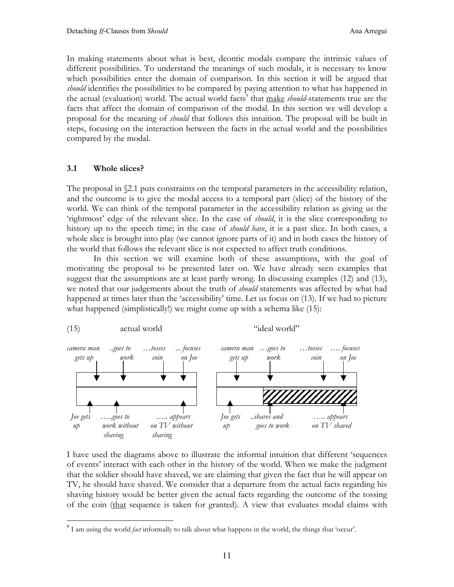In making statements about what is best, deontic modals compare the intrinsic values of different possibilities. To understand the meanings of such modals, it is necessary to know which possibilities enter the domain of comparison. In this section it will be argued that *should* identifies the possibilities to be compared by paying attention to what has happened in the actual (evaluation) world. The actual world facts<sup>9</sup> that make *should*-statements true are the facts that affect the domain of comparison of the modal. In this section we will develop a proposal for the meaning of *should* that follows this intuition. The proposal will be built in steps, focusing on the interaction between the facts in the actual world and the possibilities compared by the modal.

#### **3.1 Whole slices?**

The proposal in §2.1 puts constraints on the temporal parameters in the accessibility relation, and the outcome is to give the modal access to a temporal part (slice) of the history of the world. We can think of the temporal parameter in the accessibility relation as giving us the 'rightmost' edge of the relevant slice. In the case of *should*, it is the slice corresponding to history up to the speech time; in the case of *should have*, it is a past slice. In both cases, a whole slice is brought into play (we cannot ignore parts of it) and in both cases the history of the world that follows the relevant slice is not expected to affect truth conditions.

In this section we will examine both of these assumptions, with the goal of motivating the proposal to be presented later on. We have already seen examples that suggest that the assumptions are at least partly wrong. In discussing examples (12) and (13), we noted that our judgements about the truth of *should* statements was affected by what had happened at times later than the 'accessibility' time. Let us focus on (13). If we had to picture what happened (simplistically!) we might come up with a schema like (15):



I have used the diagrams above to illustrate the informal intuition that different 'sequences of events' interact with each other in the history of the world. When we make the judgment that the soldier should have shaved, we are claiming that given the fact that he will appear on TV, he should have shaved. We consider that a departure from the actual facts regarding his shaving history would be better given the actual facts regarding the outcome of the tossing of the coin (that sequence is taken for granted). A view that evaluates modal claims with

<sup>&</sup>lt;sup>9</sup> I am using the world *fact* informally to talk about what happens in the world, the things that 'occur'.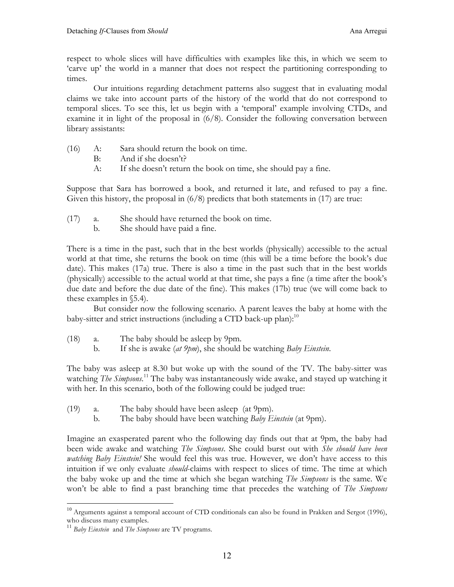respect to whole slices will have difficulties with examples like this, in which we seem to 'carve up' the world in a manner that does not respect the partitioning corresponding to times.

Our intuitions regarding detachment patterns also suggest that in evaluating modal claims we take into account parts of the history of the world that do not correspond to temporal slices. To see this, let us begin with a 'temporal' example involving CTDs, and examine it in light of the proposal in (6/8). Consider the following conversation between library assistants:

- (16) A: Sara should return the book on time.
	- B: And if she doesn't?
	- A: If she doesn't return the book on time, she should pay a fine.

Suppose that Sara has borrowed a book, and returned it late, and refused to pay a fine. Given this history, the proposal in  $(6/8)$  predicts that both statements in (17) are true:

- (17) a. She should have returned the book on time.
	- b. She should have paid a fine.

There is a time in the past, such that in the best worlds (physically) accessible to the actual world at that time, she returns the book on time (this will be a time before the book's due date). This makes (17a) true. There is also a time in the past such that in the best worlds (physically) accessible to the actual world at that time, she pays a fine (a time after the book's due date and before the due date of the fine). This makes (17b) true (we will come back to these examples in §5.4).

But consider now the following scenario. A parent leaves the baby at home with the baby-sitter and strict instructions (including a CTD back-up plan): $^{10}$ 

- (18) a. The baby should be asleep by 9pm.
	- b. If she is awake (*at 9pm*), she should be watching *Baby Einstein*.

The baby was asleep at 8.30 but woke up with the sound of the TV. The baby-sitter was watching *The Simpsons*. 11 The baby was instantaneously wide awake, and stayed up watching it with her. In this scenario, both of the following could be judged true:

- (19) a. The baby should have been asleep (at 9pm).
	- b. The baby should have been watching *Baby Einstein* (at 9pm).

Imagine an exasperated parent who the following day finds out that at 9pm, the baby had been wide awake and watching *The Simpsons*. She could burst out with *She should have been watching Baby Einstein!* She would feel this was true. However, we don't have access to this intuition if we only evaluate *should*-claims with respect to slices of time. The time at which the baby woke up and the time at which she began watching *The Simpsons* is the same. We won't be able to find a past branching time that precedes the watching of *The Simpsons*

<sup>&</sup>lt;sup>10</sup> Arguments against a temporal account of CTD conditionals can also be found in Prakken and Sergot (1996),

who discuss many examples. <sup>11</sup> *Baby Einstein* and *The Simpsons* are TV programs.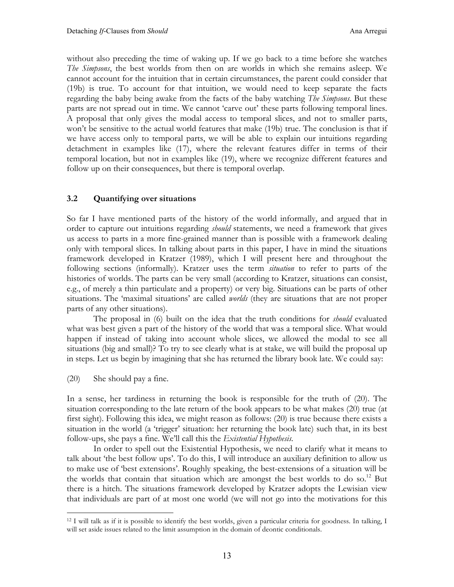without also preceding the time of waking up. If we go back to a time before she watches *The Simpsons*, the best worlds from then on are worlds in which she remains asleep. We cannot account for the intuition that in certain circumstances, the parent could consider that (19b) is true. To account for that intuition, we would need to keep separate the facts regarding the baby being awake from the facts of the baby watching *The Simpsons*. But these parts are not spread out in time. We cannot 'carve out' these parts following temporal lines. A proposal that only gives the modal access to temporal slices, and not to smaller parts, won't be sensitive to the actual world features that make (19b) true. The conclusion is that if we have access only to temporal parts, we will be able to explain our intuitions regarding detachment in examples like (17), where the relevant features differ in terms of their temporal location, but not in examples like (19), where we recognize different features and follow up on their consequences, but there is temporal overlap.

## **3.2 Quantifying over situations**

So far I have mentioned parts of the history of the world informally, and argued that in order to capture out intuitions regarding *should* statements, we need a framework that gives us access to parts in a more fine-grained manner than is possible with a framework dealing only with temporal slices. In talking about parts in this paper, I have in mind the situations framework developed in Kratzer (1989), which I will present here and throughout the following sections (informally). Kratzer uses the term *situation* to refer to parts of the histories of worlds. The parts can be very small (according to Kratzer, situations can consist, e.g., of merely a thin particulate and a property) or very big. Situations can be parts of other situations. The 'maximal situations' are called *worlds* (they are situations that are not proper parts of any other situations).

The proposal in (6) built on the idea that the truth conditions for *should* evaluated what was best given a part of the history of the world that was a temporal slice. What would happen if instead of taking into account whole slices, we allowed the modal to see all situations (big and small)? To try to see clearly what is at stake, we will build the proposal up in steps. Let us begin by imagining that she has returned the library book late. We could say:

(20) She should pay a fine.

In a sense, her tardiness in returning the book is responsible for the truth of (20). The situation corresponding to the late return of the book appears to be what makes (20) true (at first sight). Following this idea, we might reason as follows: (20) is true because there exists a situation in the world (a 'trigger' situation: her returning the book late) such that, in its best follow-ups, she pays a fine. We'll call this the *Existential Hypothesis.*

In order to spell out the Existential Hypothesis, we need to clarify what it means to talk about 'the best follow ups'. To do this, I will introduce an auxiliary definition to allow us to make use of 'best extensions'. Roughly speaking, the best-extensions of a situation will be the worlds that contain that situation which are amongst the best worlds to do so.<sup>12</sup> But there is a hitch. The situations framework developed by Kratzer adopts the Lewisian view that individuals are part of at most one world (we will not go into the motivations for this

 $\overline{a}$ <sup>12</sup> I will talk as if it is possible to identify the best worlds, given a particular criteria for goodness. In talking, I will set aside issues related to the limit assumption in the domain of deontic conditionals.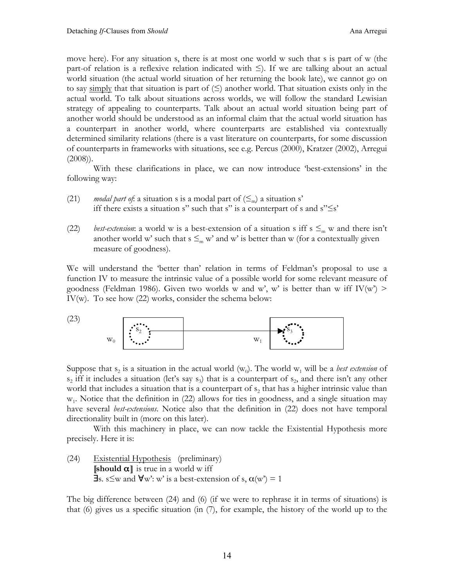move here). For any situation s, there is at most one world w such that s is part of w (the part-of relation is a reflexive relation indicated with  $\leq$ ). If we are talking about an actual world situation (the actual world situation of her returning the book late), we cannot go on to say simply that that situation is part of  $(\leq)$  another world. That situation exists only in the actual world. To talk about situations across worlds, we will follow the standard Lewisian strategy of appealing to counterparts. Talk about an actual world situation being part of another world should be understood as an informal claim that the actual world situation has a counterpart in another world, where counterparts are established via contextually determined similarity relations (there is a vast literature on counterparts, for some discussion of counterparts in frameworks with situations, see e.g. Percus (2000), Kratzer (2002), Arregui (2008)).

With these clarifications in place, we can now introduce 'best-extensions' in the following way:

- (21) *modal part of*: a situation s is a modal part of  $(\leq_m)$  a situation s' iff there exists a situation s" such that s" is a counterpart of s and  $s$ " $\leq$ s'
- (22) *best-extension*: a world w is a best-extension of a situation s iff  $s \leq_m w$  and there isn't another world w' such that  $s \leq_m w$ ' and w' is better than w (for a contextually given measure of goodness).

We will understand the 'better than' relation in terms of Feldman's proposal to use a function IV to measure the intrinsic value of a possible world for some relevant measure of goodness (Feldman 1986). Given two worlds w and w', w' is better than w iff IV(w') > IV(w). To see how (22) works, consider the schema below:



Suppose that  $s_2$  is a situation in the actual world (w<sub>0</sub>). The world w<sub>1</sub> will be a *best extension* of  $s_2$  iff it includes a situation (let's say  $s_3$ ) that is a counterpart of  $s_2$ , and there isn't any other world that includes a situation that is a counterpart of  $s<sub>2</sub>$  that has a higher intrinsic value than  $w_1$ . Notice that the definition in (22) allows for ties in goodness, and a single situation may have several *best-extensions*. Notice also that the definition in (22) does not have temporal directionality built in (more on this later).

With this machinery in place, we can now tackle the Existential Hypothesis more precisely. Here it is:

(24) Existential Hypothesis (preliminary)  $\|$ **should**  $\alpha$  is true in a world w iff  $\exists$ s. s $\leq$ w and  $\forall$ w': w' is a best-extension of s,  $\alpha(w) = 1$ 

The big difference between (24) and (6) (if we were to rephrase it in terms of situations) is that (6) gives us a specific situation (in (7), for example, the history of the world up to the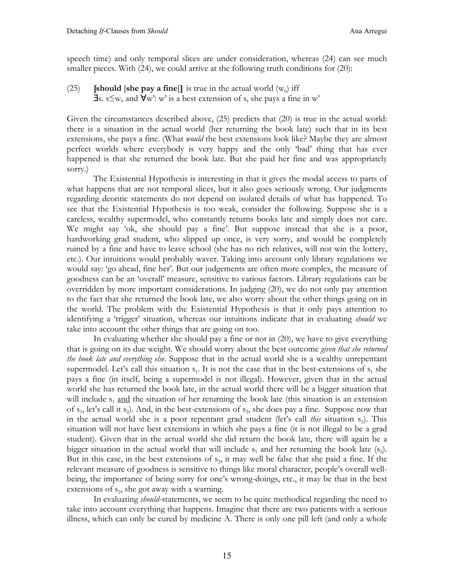speech time) and only temporal slices are under consideration, whereas (24) can see much smaller pieces. With (24), we could arrive at the following truth conditions for (20):

(25) **[[should | she pay a fine**]] is true in the actual world  $(w_0)$  iff  $\exists$ s. s $\leq$ w<sub>0</sub> and  $\forall$ w': w' is a best extension of s, she pays a fine in w'

Given the circumstances described above,  $(25)$  predicts that  $(20)$  is true in the actual world: there is a situation in the actual world (her returning the book late) such that in its best extensions, she pays a fine. (What *would* the best extensions look like? Maybe they are almost perfect worlds where everybody is very happy and the only 'bad' thing that has ever happened is that she returned the book late. But she paid her fine and was appropriately sorry.)

The Existential Hypothesis is interesting in that it gives the modal access to parts of what happens that are not temporal slices, but it also goes seriously wrong. Our judgments regarding deontic statements do not depend on isolated details of what has happened. To see that the Existential Hypothesis is too weak, consider the following. Suppose she is a careless, wealthy supermodel, who constantly returns books late and simply does not care. We might say 'ok, she should pay a fine'. But suppose instead that she is a poor, hardworking grad student, who slipped up once, is very sorry, and would be completely ruined by a fine and have to leave school (she has no rich relatives, will not win the lottery, etc.). Our intuitions would probably waver. Taking into account only library regulations we would say: 'go ahead, fine her'. But our judgements are often more complex, the measure of goodness can be an 'overall' measure, sensitive to various factors. Library regulations can be overridden by more important considerations. In judging (20), we do not only pay attention to the fact that she returned the book late, we also worry about the other things going on in the world. The problem with the Existential Hypothesis is that it only pays attention to identifying a 'trigger' situation, whereas our intuitions indicate that in evaluating *should* we take into account the other things that are going on too.

In evaluating whether she should pay a fine or not in (20), we have to give everything that is going on its due weight. We should worry about the best outcome *given that she returned the book late and everything else*. Suppose that in the actual world she is a wealthy unrepentant supermodel. Let's call this situation  $s_1$ . It is not the case that in the best-extensions of  $s_1$  she pays a fine (in itself, being a supermodel is not illegal). However, given that in the actual world she has returned the book late, in the actual world there will be a bigger situation that will include  $s_1$  and the situation of her returning the book late (this situation is an extension of  $s_1$ , let's call it  $s_2$ ). And, in the best-extensions of  $s_2$ , she does pay a fine. Suppose now that in the actual world she is a poor repentant grad student (let's call *this* situation  $s_1$ ). This situation will not have best extensions in which she pays a fine (it is not illegal to be a grad student). Given that in the actual world she did return the book late, there will again be a bigger situation in the actual world that will include  $s_1$  and her returning the book late (s<sub>2</sub>). But in this case, in the best extensions of  $s<sub>2</sub>$ , it may well be false that she paid a fine. If the relevant measure of goodness is sensitive to things like moral character, people's overall wellbeing, the importance of being sorry for one's wrong-doings, etc., it may be that in the best extensions of  $s<sub>2</sub>$ , she got away with a warning.

In evaluating *should*-statements, we seem to be quite methodical regarding the need to take into account everything that happens. Imagine that there are two patients with a serious illness, which can only be cured by medicine A. There is only one pill left (and only a whole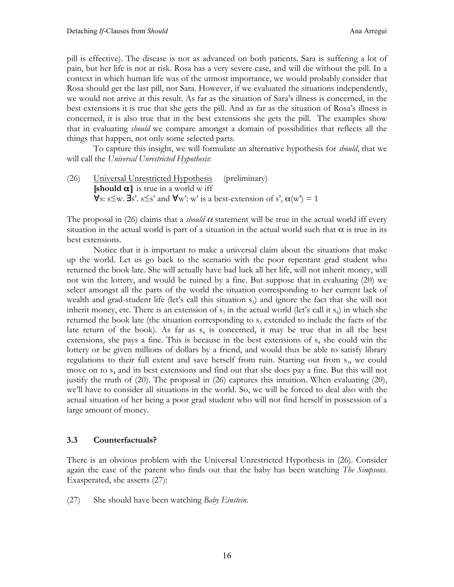pill is effective). The disease is not as advanced on both patients. Sara is suffering a lot of pain, but her life is not at risk. Rosa has a very severe case, and will die without the pill. In a context in which human life was of the utmost importance, we would probably consider that Rosa should get the last pill, not Sara. However, if we evaluated the situations independently, we would not arrive at this result. As far as the situation of Sara's illness is concerned, in the best extensions it is true that she gets the pill. And as far as the situation of Rosa's illness is concerned, it is also true that in the best extensions she gets the pill. The examples show that in evaluating *should* we compare amongst a domain of possibilities that reflects all the things that happen, not only some selected parts.

To capture this insight, we will formulate an alternative hypothesis for *should*, that we will call the *Universal Unrestricted Hypothesis*:

(26) Universal Unrestricted Hypothesis (preliminary) [[**should** α]] is true in a world w iff  $\forall s: s \leq w$ .  $\exists s$ '.  $s \leq s$ ' and  $\forall w$ ': w' is a best-extension of s',  $\alpha(w) = 1$ 

The proposal in (26) claims that a *should*  $\alpha$  statement will be true in the actual world iff every situation in the actual world is part of a situation in the actual world such that  $\alpha$  is true in its best extensions.

Notice that it is important to make a universal claim about the situations that make up the world. Let us go back to the scenario with the poor repentant grad student who returned the book late. She will actually have bad luck all her life, will not inherit money, will not win the lottery, and would be ruined by a fine. But suppose that in evaluating (20) we select amongst all the parts of the world the situation corresponding to her current lack of wealth and grad-student life (let's call this situation  $s<sub>3</sub>$ ) and ignore the fact that she will not inherit money, etc. There is an extension of  $s_3$  in the actual world (let's call it  $s_4$ ) in which she returned the book late (the situation corresponding to  $s<sub>3</sub>$  extended to include the facts of the late return of the book). As far as  $s_4$  is concerned, it may be true that in all the best extensions, she pays a fine. This is because in the best extensions of  $s<sub>4</sub>$  she could win the lottery or be given millions of dollars by a friend, and would thus be able to satisfy library regulations to their full extent and save herself from ruin. Starting out from  $s<sub>3</sub>$ , we could move on to  $s<sub>4</sub>$  and its best extensions and find out that she does pay a fine. But this will not justify the truth of (20). The proposal in (26) captures this intuition. When evaluating (20), we'll have to consider all situations in the world. So, we will be forced to deal also with the actual situation of her being a poor grad student who will not find herself in possession of a large amount of money.

## **3.3 Counterfactuals?**

There is an obvious problem with the Universal Unrestricted Hypothesis in (26). Consider again the case of the parent who finds out that the baby has been watching *The Simpsons*. Exasperated, she asserts (27):

(27) She should have been watching *Baby Einstein*.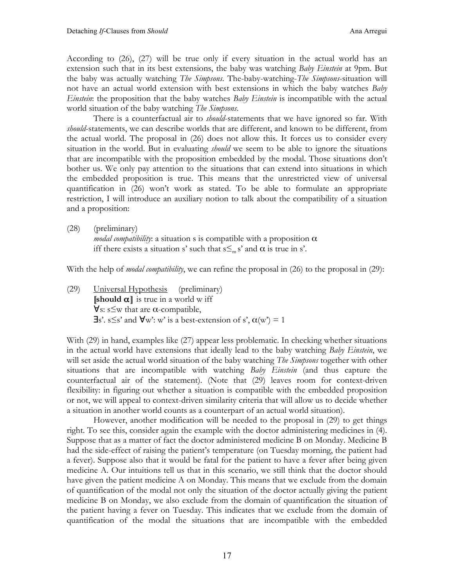According to (26), (27) will be true only if every situation in the actual world has an extension such that in its best extensions, the baby was watching *Baby Einstein* at 9pm. But the baby was actually watching *The Simpsons*. The-baby-watching-*The Simpsons*-situation will not have an actual world extension with best extensions in which the baby watches *Baby Einstein*: the proposition that the baby watches *Baby Einstein* is incompatible with the actual world situation of the baby watching *The Simpsons*.

There is a counterfactual air to *should*-statements that we have ignored so far. With *should*-statements, we can describe worlds that are different, and known to be different, from the actual world. The proposal in (26) does not allow this. It forces us to consider every situation in the world. But in evaluating *should* we seem to be able to ignore the situations that are incompatible with the proposition embedded by the modal. Those situations don't bother us. We only pay attention to the situations that can extend into situations in which the embedded proposition is true. This means that the unrestricted view of universal quantification in (26) won't work as stated. To be able to formulate an appropriate restriction, I will introduce an auxiliary notion to talk about the compatibility of a situation and a proposition:

(28) (preliminary) *modal compatibility*: a situation s is compatible with a proposition  $\alpha$ iff there exists a situation s' such that  $s \leq_m s'$  and  $\alpha$  is true in s'.

With the help of *modal compatibility*, we can refine the proposal in (26) to the proposal in (29):

(29) Universal Hypothesis (preliminary)  $\|$ **should**  $\alpha$  is true in a world w iff  $\forall$ s: s $\leq$ w that are  $\alpha$ -compatible,  $\exists$ s'. s $\leq$ s' and  $\forall$ w': w' is a best-extension of s',  $\alpha(w) = 1$ 

With (29) in hand, examples like (27) appear less problematic. In checking whether situations in the actual world have extensions that ideally lead to the baby watching *Baby Einstein*, we will set aside the actual world situation of the baby watching *The Simpsons* together with other situations that are incompatible with watching *Baby Einstein* (and thus capture the counterfactual air of the statement). (Note that (29) leaves room for context-driven flexibility: in figuring out whether a situation is compatible with the embedded proposition or not, we will appeal to context-driven similarity criteria that will allow us to decide whether a situation in another world counts as a counterpart of an actual world situation).

However, another modification will be needed to the proposal in (29) to get things right. To see this, consider again the example with the doctor administering medicines in (4). Suppose that as a matter of fact the doctor administered medicine B on Monday. Medicine B had the side-effect of raising the patient's temperature (on Tuesday morning, the patient had a fever). Suppose also that it would be fatal for the patient to have a fever after being given medicine A. Our intuitions tell us that in this scenario, we still think that the doctor should have given the patient medicine A on Monday. This means that we exclude from the domain of quantification of the modal not only the situation of the doctor actually giving the patient medicine B on Monday, we also exclude from the domain of quantification the situation of the patient having a fever on Tuesday. This indicates that we exclude from the domain of quantification of the modal the situations that are incompatible with the embedded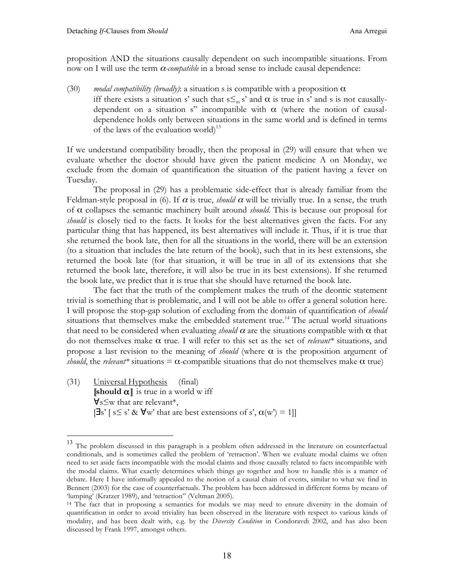proposition AND the situations causally dependent on such incompatible situations. From now on I will use the term α*-compatible* in a broad sense to include causal dependence:

(30) *modal compatibility (broadly)*: a situation s is compatible with a proposition α iff there exists a situation s' such that  $s \leq m s'$  and  $\alpha$  is true in s' and s is not causallydependent on a situation s" incompatible with  $\alpha$  (where the notion of causaldependence holds only between situations in the same world and is defined in terms of the laws of the evaluation world)<sup>13</sup>

If we understand compatibility broadly, then the proposal in (29) will ensure that when we evaluate whether the doctor should have given the patient medicine A on Monday, we exclude from the domain of quantification the situation of the patient having a fever on Tuesday.

The proposal in (29) has a problematic side-effect that is already familiar from the Feldman-style proposal in (6). If  $\alpha$  is true, *should*  $\alpha$  will be trivially true. In a sense, the truth of α collapses the semantic machinery built around *should*. This is because our proposal for *should* is closely tied to the facts. It looks for the best alternatives given the facts. For any particular thing that has happened, its best alternatives will include it. Thus, if it is true that she returned the book late, then for all the situations in the world, there will be an extension (to a situation that includes the late return of the book), such that in its best extensions, she returned the book late (for that situation, it will be true in all of its extensions that she returned the book late, therefore, it will also be true in its best extensions). If she returned the book late, we predict that it is true that she should have returned the book late.

The fact that the truth of the complement makes the truth of the deontic statement trivial is something that is problematic, and I will not be able to offer a general solution here. I will propose the stop-gap solution of excluding from the domain of quantification of *should* situations that themselves make the embedded statement true.<sup>14</sup> The actual world situations that need to be considered when evaluating *should*  $\alpha$  are the situations compatible with α that do not themselves make α true. I will refer to this set as the set of *relevant\** situations, and propose a last revision to the meaning of *should* (where  $\alpha$  is the proposition argument of *should*, the *relevant*<sup>\*</sup> situations =  $\alpha$ -compatible situations that do not themselves make  $\alpha$  true)

(31) Universal Hypothesis (final)  $[\text{should } \alpha]$  is true in a world w iff  $\forall$ s $\leq$ w that are relevant<sup>\*</sup>,  $[\exists s' \mid s \le s' \& \forall w'$  that are best extensions of s',  $\alpha(w') = 1$ ]

<sup>&</sup>lt;sup>13</sup> The problem discussed in this paragraph is a problem often addressed in the literature on counterfactual conditionals, and is sometimes called the problem of 'retraction'. When we evaluate modal claims we often need to set aside facts incompatible with the modal claims and those causally related to facts incompatible with the modal claims. What exactly determines which things go together and how to handle this is a matter of debate. Here I have informally appealed to the notion of a causal chain of events, similar to what we find in Bennett (2003) for the case of counterfactuals. The problem has been addressed in different forms by means of 'lumping' (Kratzer 1989), and 'retraction" (Veltman 2005).

<sup>14</sup> The fact that in proposing a semantics for modals we may need to ensure diversity in the domain of quantification in order to avoid triviality has been observed in the literature with respect to various kinds of modality, and has been dealt with, e.g. by the *Diversity Condition* in Condoravdi 2002, and has also been discussed by Frank 1997, amongst others.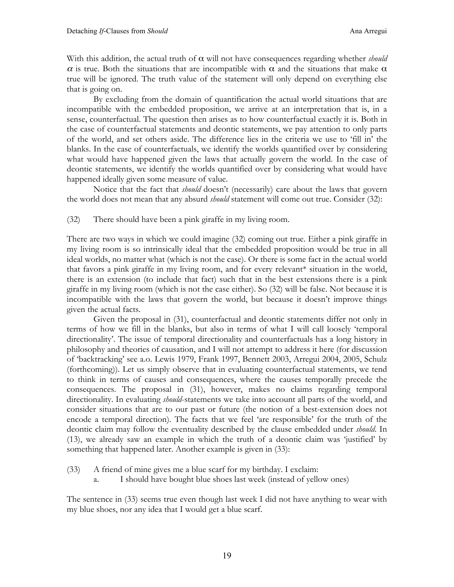With this addition, the actual truth of α will not have consequences regarding whether *should*   $\alpha$  is true. Both the situations that are incompatible with  $\alpha$  and the situations that make  $\alpha$ true will be ignored. The truth value of the statement will only depend on everything else that is going on.

By excluding from the domain of quantification the actual world situations that are incompatible with the embedded proposition, we arrive at an interpretation that is, in a sense, counterfactual. The question then arises as to how counterfactual exactly it is. Both in the case of counterfactual statements and deontic statements, we pay attention to only parts of the world, and set others aside. The difference lies in the criteria we use to 'fill in' the blanks. In the case of counterfactuals, we identify the worlds quantified over by considering what would have happened given the laws that actually govern the world. In the case of deontic statements, we identify the worlds quantified over by considering what would have happened ideally given some measure of value.

Notice that the fact that *should* doesn't (necessarily) care about the laws that govern the world does not mean that any absurd *should* statement will come out true. Consider (32):

(32) There should have been a pink giraffe in my living room.

There are two ways in which we could imagine (32) coming out true. Either a pink giraffe in my living room is so intrinsically ideal that the embedded proposition would be true in all ideal worlds, no matter what (which is not the case). Or there is some fact in the actual world that favors a pink giraffe in my living room, and for every relevant\* situation in the world, there is an extension (to include that fact) such that in the best extensions there is a pink giraffe in my living room (which is not the case either). So (32) will be false. Not because it is incompatible with the laws that govern the world, but because it doesn't improve things given the actual facts.

Given the proposal in (31), counterfactual and deontic statements differ not only in terms of how we fill in the blanks, but also in terms of what I will call loosely 'temporal directionality'. The issue of temporal directionality and counterfactuals has a long history in philosophy and theories of causation, and I will not attempt to address it here (for discussion of 'backtracking' see a.o. Lewis 1979, Frank 1997, Bennett 2003, Arregui 2004, 2005, Schulz (forthcoming)). Let us simply observe that in evaluating counterfactual statements, we tend to think in terms of causes and consequences, where the causes temporally precede the consequences. The proposal in (31), however, makes no claims regarding temporal directionality. In evaluating *should*-statements we take into account all parts of the world, and consider situations that are to our past or future (the notion of a best-extension does not encode a temporal direction). The facts that we feel 'are responsible' for the truth of the deontic claim may follow the eventuality described by the clause embedded under *should*. In (13), we already saw an example in which the truth of a deontic claim was 'justified' by something that happened later. Another example is given in (33):

(33) A friend of mine gives me a blue scarf for my birthday. I exclaim:

a. I should have bought blue shoes last week (instead of yellow ones)

The sentence in (33) seems true even though last week I did not have anything to wear with my blue shoes, nor any idea that I would get a blue scarf.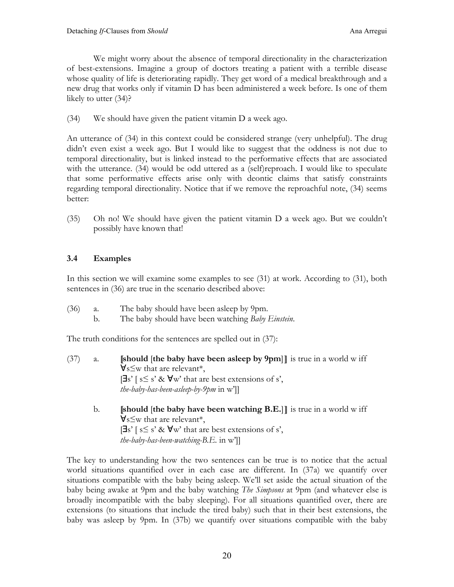We might worry about the absence of temporal directionality in the characterization of best-extensions. Imagine a group of doctors treating a patient with a terrible disease whose quality of life is deteriorating rapidly. They get word of a medical breakthrough and a new drug that works only if vitamin D has been administered a week before. Is one of them likely to utter (34)?

(34) We should have given the patient vitamin D a week ago.

An utterance of (34) in this context could be considered strange (very unhelpful). The drug didn't even exist a week ago. But I would like to suggest that the oddness is not due to temporal directionality, but is linked instead to the performative effects that are associated with the utterance. (34) would be odd uttered as a (self)reproach. I would like to speculate that some performative effects arise only with deontic claims that satisfy constraints regarding temporal directionality. Notice that if we remove the reproachful note, (34) seems better:

(35) Oh no! We should have given the patient vitamin D a week ago. But we couldn't possibly have known that!

# **3.4 Examples**

In this section we will examine some examples to see (31) at work. According to (31), both sentences in (36) are true in the scenario described above:

- (36) a. The baby should have been asleep by 9pm.
	- b. The baby should have been watching *Baby Einstein*.

The truth conditions for the sentences are spelled out in (37):

- (37) a. [[**should** [**the baby have been asleep by 9pm**]]] is true in a world w iff  $\forall s \leq w$  that are relevant<sup>\*</sup>,  $[\exists s' \mid s \leq s' \& \forall w'$  that are best extensions of s', *the-baby-has-been-asleep-by-9pm* in w']]
	- b. [[**should** [**the baby have been watching B.E.**]]] is true in a world w iff  $\forall$ s $\leq$ w that are relevant<sup>\*</sup>,  $[\exists s' \mid s \leq s' \& \forall w'$  that are best extensions of s', *the-baby-has-been-watching-B.E.* in w']]

The key to understanding how the two sentences can be true is to notice that the actual world situations quantified over in each case are different. In (37a) we quantify over situations compatible with the baby being asleep. We'll set aside the actual situation of the baby being awake at 9pm and the baby watching *The Simpsons* at 9pm (and whatever else is broadly incompatible with the baby sleeping). For all situations quantified over, there are extensions (to situations that include the tired baby) such that in their best extensions, the baby was asleep by 9pm. In (37b) we quantify over situations compatible with the baby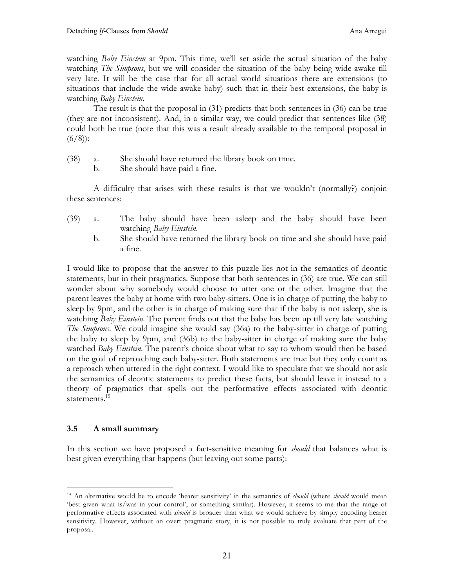watching *Baby Einstein* at 9pm. This time, we'll set aside the actual situation of the baby watching *The Simpsons*, but we will consider the situation of the baby being wide-awake till very late. It will be the case that for all actual world situations there are extensions (to situations that include the wide awake baby) such that in their best extensions, the baby is watching *Baby Einstein*.

The result is that the proposal in (31) predicts that both sentences in (36) can be true (they are not inconsistent). And, in a similar way, we could predict that sentences like (38) could both be true (note that this was a result already available to the temporal proposal in  $(6/8)$ :

- (38) a. She should have returned the library book on time.
	- b. She should have paid a fine.

A difficulty that arises with these results is that we wouldn't (normally?) conjoin these sentences:

- (39) a. The baby should have been asleep and the baby should have been watching *Baby Einstein*.
	- b. She should have returned the library book on time and she should have paid a fine.

I would like to propose that the answer to this puzzle lies not in the semantics of deontic statements, but in their pragmatics. Suppose that both sentences in (36) are true. We can still wonder about why somebody would choose to utter one or the other. Imagine that the parent leaves the baby at home with two baby-sitters. One is in charge of putting the baby to sleep by 9pm, and the other is in charge of making sure that if the baby is not asleep, she is watching *Baby Einstein*. The parent finds out that the baby has been up till very late watching *The Simpsons*. We could imagine she would say (36a) to the baby-sitter in charge of putting the baby to sleep by 9pm, and (36b) to the baby-sitter in charge of making sure the baby watched *Baby Einstein*. The parent's choice about what to say to whom would then be based on the goal of reproaching each baby-sitter. Both statements are true but they only count as a reproach when uttered in the right context. I would like to speculate that we should not ask the semantics of deontic statements to predict these facts, but should leave it instead to a theory of pragmatics that spells out the performative effects associated with deontic statements.<sup>15</sup>

# **3.5 A small summary**

In this section we have proposed a fact-sensitive meaning for *should* that balances what is best given everything that happens (but leaving out some parts):

 $\overline{a}$ 15 An alternative would be to encode 'hearer sensitivity' in the semantics of *should* (where *should* would mean 'best given what is/was in your control', or something similar). However, it seems to me that the range of performative effects associated with *should* is broader than what we would achieve by simply encoding hearer sensitivity. However, without an overt pragmatic story, it is not possible to truly evaluate that part of the proposal.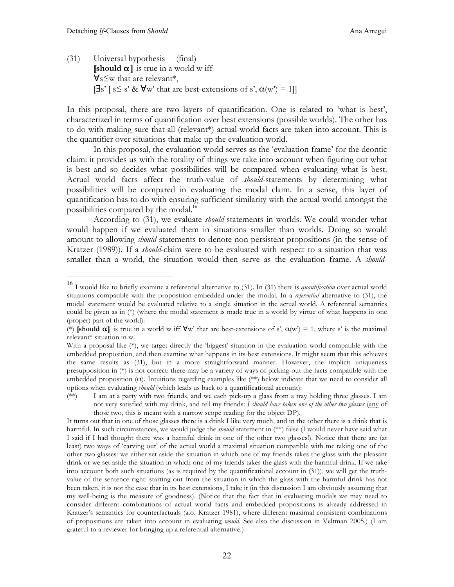(31) Universal hypothesis (final) [[**should** α]] is true in a world w iff ∀s≤w that are relevant\*,  $[\exists s' \mid s \leq s' \& \forall w'$  that are best-extensions of s',  $\alpha(w') = 1$ ]

In this proposal, there are two layers of quantification. One is related to 'what is best', characterized in terms of quantification over best extensions (possible worlds). The other has to do with making sure that all (relevant\*) actual-world facts are taken into account. This is the quantifier over situations that make up the evaluation world.

In this proposal, the evaluation world serves as the 'evaluation frame' for the deontic claim: it provides us with the totality of things we take into account when figuring out what is best and so decides what possibilities will be compared when evaluating what is best. Actual world facts affect the truth-value of *should*-statements by determining what possibilities will be compared in evaluating the modal claim. In a sense, this layer of quantification has to do with ensuring sufficient similarity with the actual world amongst the possibilities compared by the modal.<sup>16</sup>

According to (31), we evaluate *should*-statements in worlds. We could wonder what would happen if we evaluated them in situations smaller than worlds. Doing so would amount to allowing *should*-statements to denote non-persistent propositions (in the sense of Kratzer (1989)). If a *should*-claim were to be evaluated with respect to a situation that was smaller than a world, the situation would then serve as the evaluation frame. A *should*-

 <sup>16</sup> I would like to briefly examine a referential alternative to (31). In (31) there is *quantification* over actual world situations compatible with the proposition embedded under the modal. In a *referential* alternative to (31), the modal statement would be evaluated relative to a single situation in the actual world. A referential semantics could be given as in (\*) (where the modal statement is made true in a world by virtue of what happens in one (proper) part of the world):

<sup>(\*)</sup> **[should**  $\alpha$ **]** is true in a world w iff  $\forall w'$  that are best-extensions of s',  $\alpha(w') = 1$ , where s' is the maximal relevant\* situation in w.

With a proposal like (\*), we target directly the 'biggest' situation in the evaluation world compatible with the embedded proposition, and then examine what happens in its best extensions. It might seem that this achieves the same results as (31), but in a more straightforward manner. However, the implicit uniqueness presupposition in (\*) is not correct: there may be a variety of ways of picking-out the facts compatible with the embedded proposition (α). Intuitions regarding examples like (\*\*) below indicate that we need to consider all options when evaluating *should* (which leads us back to a quantificational account):

<sup>(\*\*)</sup> I am at a party with two friends, and we each pick-up a glass from a tray holding three glasses. I am not very satisfied with my drink, and tell my friends: *I should have taken one of the other two glasses* (any of those two, this is meant with a narrow scope reading for the object DP).

It turns out that in one of those glasses there is a drink I like very much, and in the other there is a drink that is harmful. In such circumstances, we would judge the *should*-statement in (\*\*) false (I would never have said what I said if I had thought there was a harmful drink in one of the other two glasses!). Notice that there are (at least) two ways of 'carving out' of the actual world a maximal situation compatible with me taking one of the other two glasses: we either set aside the situation in which one of my friends takes the glass with the pleasant drink or we set aside the situation in which one of my friends takes the glass with the harmful drink. If we take into account both such situations (as is required by the quantificational account in (31)), we will get the truthvalue of the sentence right: starting out from the situation in which the glass with the harmful drink has not been taken, it is not the case that in its best extensions, I take it (in this discussion I am obviously assuming that my well-being is the measure of goodness). (Notice that the fact that in evaluating modals we may need to consider different combinations of actual world facts and embedded propositions is already addressed in Kratzer's semantics for counterfactuals (a.o. Kratzer 1981), where different maximal consistent combinations of propositions are taken into account in evaluating *would*. See also the discussion in Veltman 2005.) (I am grateful to a reviewer for bringing up a referential alternative.)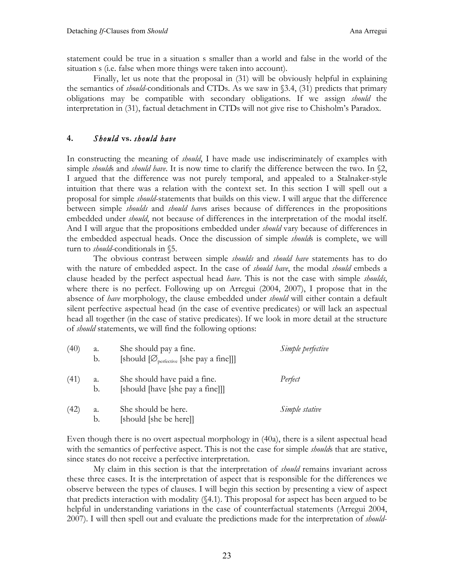statement could be true in a situation s smaller than a world and false in the world of the situation s (i.e. false when more things were taken into account).

Finally, let us note that the proposal in (31) will be obviously helpful in explaining the semantics of *should*-conditionals and CTDs. As we saw in §3.4, (31) predicts that primary obligations may be compatible with secondary obligations. If we assign *should* the interpretation in (31), factual detachment in CTDs will not give rise to Chisholm's Paradox.

## **4.** *Should* **vs.** *should have*

In constructing the meaning of *should*, I have made use indiscriminately of examples with simple *should*s and *should have*. It is now time to clarify the difference between the two. In §2, I argued that the difference was not purely temporal, and appealed to a Stalnaker-style intuition that there was a relation with the context set. In this section I will spell out a proposal for simple *should*-statements that builds on this view. I will argue that the difference between simple *shoulds* and *should have*s arises because of differences in the propositions embedded under *should*, not because of differences in the interpretation of the modal itself. And I will argue that the propositions embedded under *should* vary because of differences in the embedded aspectual heads. Once the discussion of simple *should*s is complete, we will turn to *should*-conditionals in §5.

The obvious contrast between simple *shoulds* and *should have* statements has to do with the nature of embedded aspect. In the case of *should have*, the modal *should* embeds a clause headed by the perfect aspectual head *have*. This is not the case with simple *shoulds*, where there is no perfect. Following up on Arregui (2004, 2007), I propose that in the absence of *have* morphology, the clause embedded under *should* will either contain a default silent perfective aspectual head (in the case of eventive predicates) or will lack an aspectual head all together (in the case of stative predicates). If we look in more detail at the structure of *should* statements, we will find the following options:

| (40) | a.<br>b. | She should pay a fine.<br>[should $[\emptyset_{\text{perfective}}]$ [she pay a fine]]] | <i>Simple</i> perfective |
|------|----------|----------------------------------------------------------------------------------------|--------------------------|
| (41) | a.<br>b. | She should have paid a fine.<br>[should [have [she pay a fine]]]                       | Perfect                  |
| (42) | a.<br>b. | She should be here.<br>[should [she be here]]                                          | Simple stative           |

Even though there is no overt aspectual morphology in (40a), there is a silent aspectual head with the semantics of perfective aspect. This is not the case for simple *should*s that are stative, since states do not receive a perfective interpretation.

My claim in this section is that the interpretation of *should* remains invariant across these three cases. It is the interpretation of aspect that is responsible for the differences we observe between the types of clauses. I will begin this section by presenting a view of aspect that predicts interaction with modality (§4.1). This proposal for aspect has been argued to be helpful in understanding variations in the case of counterfactual statements (Arregui 2004, 2007). I will then spell out and evaluate the predictions made for the interpretation of *should*-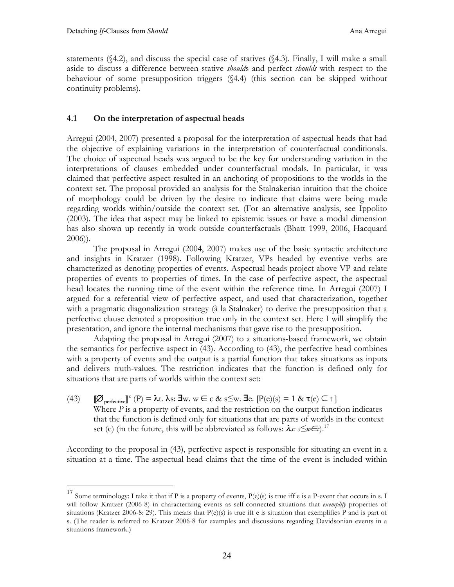statements (§4.2), and discuss the special case of statives (§4.3). Finally, I will make a small aside to discuss a difference between stative *should*s and perfect *shoulds* with respect to the behaviour of some presupposition triggers (§4.4) (this section can be skipped without continuity problems).

## **4.1 On the interpretation of aspectual heads**

Arregui (2004, 2007) presented a proposal for the interpretation of aspectual heads that had the objective of explaining variations in the interpretation of counterfactual conditionals. The choice of aspectual heads was argued to be the key for understanding variation in the interpretations of clauses embedded under counterfactual modals. In particular, it was claimed that perfective aspect resulted in an anchoring of propositions to the worlds in the context set. The proposal provided an analysis for the Stalnakerian intuition that the choice of morphology could be driven by the desire to indicate that claims were being made regarding worlds within/outside the context set. (For an alternative analysis, see Ippolito (2003). The idea that aspect may be linked to epistemic issues or have a modal dimension has also shown up recently in work outside counterfactuals (Bhatt 1999, 2006, Hacquard 2006)).

The proposal in Arregui (2004, 2007) makes use of the basic syntactic architecture and insights in Kratzer (1998). Following Kratzer, VPs headed by eventive verbs are characterized as denoting properties of events. Aspectual heads project above VP and relate properties of events to properties of times. In the case of perfective aspect, the aspectual head locates the running time of the event within the reference time. In Arregui (2007) I argued for a referential view of perfective aspect, and used that characterization, together with a pragmatic diagonalization strategy (à la Stalnaker) to derive the presupposition that a perfective clause denoted a proposition true only in the context set. Here I will simplify the presentation, and ignore the internal mechanisms that gave rise to the presupposition.

Adapting the proposal in Arregui (2007) to a situations-based framework, we obtain the semantics for perfective aspect in (43). According to (43), the perfective head combines with a property of events and the output is a partial function that takes situations as inputs and delivers truth-values. The restriction indicates that the function is defined only for situations that are parts of worlds within the context set:

(43)  $[\![\mathcal{O}_{\text{perfective}}]\!]^c$  (P) =  $\lambda$ t.  $\lambda$ s:  $\exists w. w \in c \& s \leq w. \exists e. [P(e)(s) = 1 \& \tau(e) \subset t]$ Where *P* is a property of events, and the restriction on the output function indicates that the function is defined only for situations that are parts of worlds in the context set (c) (in the future, this will be abbreviated as follows:  $\lambda s$ :  $s \leq w \in c$ ).<sup>17</sup>

According to the proposal in (43), perfective aspect is responsible for situating an event in a situation at a time. The aspectual head claims that the time of the event is included within

<sup>&</sup>lt;sup>17</sup> Some terminology: I take it that if P is a property of events,  $P(e)(s)$  is true iff e is a P-event that occurs in s. I will follow Kratzer (2006-8) in characterizing events as self-connected situations that *exemplify* properties of situations (Kratzer 2006-8: 29). This means that  $P(e)(s)$  is true iff e is situation that exemplifies P and is part of s. (The reader is referred to Kratzer 2006-8 for examples and discussions regarding Davidsonian events in a situations framework.)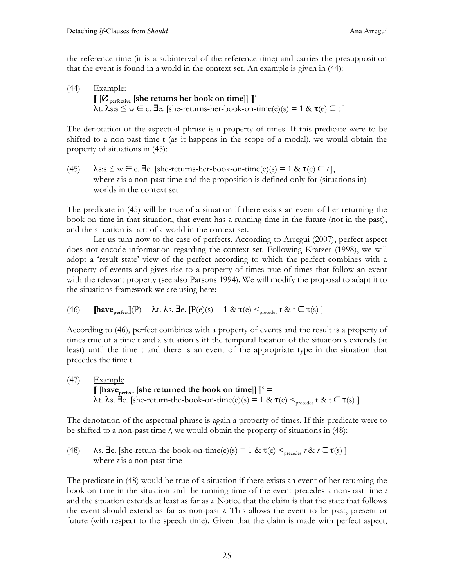the reference time (it is a subinterval of the reference time) and carries the presupposition that the event is found in a world in the context set. An example is given in (44):

(44) Example:  $\left[\right]$  [ $\emptyset$ <sub>perfective</sub> [she returns her book on time]]  $\right]$ <sup>c</sup> = λt. λs:s ≤ w ∈ c. ∃e. [she-returns-her-book-on-time(e)(s) = 1 & τ(e) ⊂ t ]

The denotation of the aspectual phrase is a property of times. If this predicate were to be shifted to a non-past time t (as it happens in the scope of a modal), we would obtain the property of situations in (45):

(45)  $\lambda$ s:s  $\leq$  w  $\in$  c.  $\exists$ e. [she-returns-her-book-on-time(e)(s) = 1 &  $\tau$ (e)  $\subset t$ ], where *t* is a non-past time and the proposition is defined only for (situations in) worlds in the context set

The predicate in (45) will be true of a situation if there exists an event of her returning the book on time in that situation, that event has a running time in the future (not in the past), and the situation is part of a world in the context set.

Let us turn now to the case of perfects. According to Arregui (2007), perfect aspect does not encode information regarding the context set. Following Kratzer (1998), we will adopt a 'result state' view of the perfect according to which the perfect combines with a property of events and gives rise to a property of times true of times that follow an event with the relevant property (see also Parsons 1994). We will modify the proposal to adapt it to the situations framework we are using here:

(46) **[have**<sub>perfect</sub>](P) = 
$$
\lambda
$$
t.  $\lambda$ s. **1**e. [P(e)(s) = 1 & T(e)  $\leq_{\text{precedes}}$ t & T(f) ]

According to (46), perfect combines with a property of events and the result is a property of times true of a time t and a situation s iff the temporal location of the situation s extends (at least) until the time t and there is an event of the appropriate type in the situation that precedes the time t.

(47) Example  $\llbracket$  [have<sub>perfect</sub> [she returned the book on time]]  $\rrbracket$ <sup>c</sup> = λt. λs.  $\dot{\exists}$ e. [she-return-the-book-on-time(e)(s) = 1 & τ(e) < <sub>precedes</sub> t & t ⊂ τ(s) ]

The denotation of the aspectual phrase is again a property of times. If this predicate were to be shifted to a non-past time *t*, we would obtain the property of situations in (48):

(48)  $\lambda$ s. **∃**e. [she-return-the-book-on-time(e)(s) = 1 &  $\tau$ (e)  $\leq_{\text{precedes}} t \& t \subseteq \tau(s)$  ] where *t* is a non-past time

The predicate in (48) would be true of a situation if there exists an event of her returning the book on time in the situation and the running time of the event precedes a non-past time *t* and the situation extends at least as far as *t*. Notice that the claim is that the state that follows the event should extend as far as non-past *t*. This allows the event to be past, present or future (with respect to the speech time). Given that the claim is made with perfect aspect,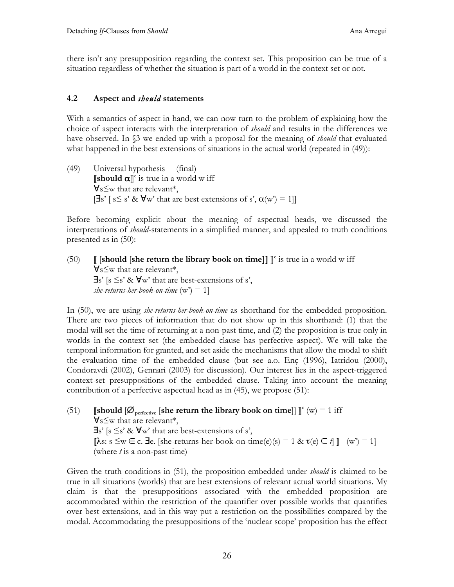there isn't any presupposition regarding the context set. This proposition can be true of a situation regardless of whether the situation is part of a world in the context set or not.

## **4.2 Aspect and** *should* **statements**

With a semantics of aspect in hand, we can now turn to the problem of explaining how the choice of aspect interacts with the interpretation of *should* and results in the differences we have observed. In §3 we ended up with a proposal for the meaning of *should* that evaluated what happened in the best extensions of situations in the actual world (repeated in  $(49)$ ):

(49) Universal hypothesis (final)  $[\text{should } \alpha]$ <sup>c</sup> is true in a world w iff ∀s≤w that are relevant\*,  $[\exists s' \mid s \leq s' \& \forall w'$  that are best extensions of s',  $\alpha(w') = 1$ ]

Before becoming explicit about the meaning of aspectual heads, we discussed the interpretations of *should*-statements in a simplified manner, and appealed to truth conditions presented as in (50):

(50)  $\left[\right]$  [should [she return the library book on time]]  $\left[\right]$ <sup>c</sup> is true in a world w iff ∀s≤w that are relevant\*,  $\exists s'$  [s  $\leq s' \& \forall w'$  that are best-extensions of s',  $she-returns-her-book-on-time (w') = 1$ 

In (50), we are using *she-returns-her-book-on-time* as shorthand for the embedded proposition. There are two pieces of information that do not show up in this shorthand: (1) that the modal will set the time of returning at a non-past time, and (2) the proposition is true only in worlds in the context set (the embedded clause has perfective aspect). We will take the temporal information for granted, and set aside the mechanisms that allow the modal to shift the evaluation time of the embedded clause (but see a.o. Enç (1996), Iatridou (2000), Condoravdi (2002), Gennari (2003) for discussion). Our interest lies in the aspect-triggered context-set presuppositions of the embedded clause. Taking into account the meaning contribution of a perfective aspectual head as in (45), we propose (51):

(51) **[[ should**  $[\emptyset]$  perfective **[she return the library book on time**]]  $\int^c (w) = 1$  iff ∀s≤w that are relevant\*,  $\exists s'$  [s  $\leq s' \& \forall w'$  that are best-extensions of s', **[**λs: s ≤w ∈ c. ∃e. [she-returns-her-book-on-time(e)(s) = 1 & τ(e) ⊂ *t*] [ (w') = 1] (where *t* is a non-past time)

Given the truth conditions in (51), the proposition embedded under *should* is claimed to be true in all situations (worlds) that are best extensions of relevant actual world situations. My claim is that the presuppositions associated with the embedded proposition are accommodated within the restriction of the quantifier over possible worlds that quantifies over best extensions, and in this way put a restriction on the possibilities compared by the modal. Accommodating the presuppositions of the 'nuclear scope' proposition has the effect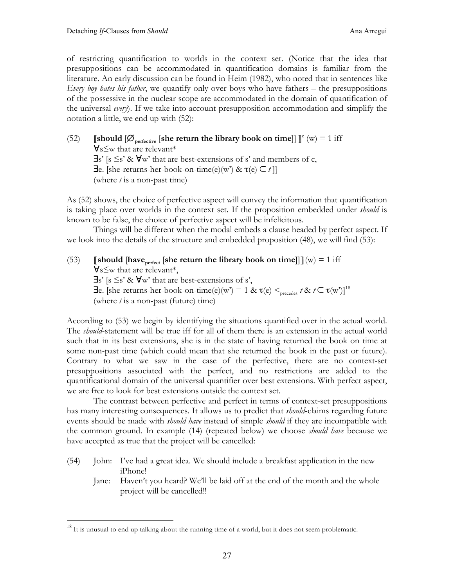of restricting quantification to worlds in the context set. (Notice that the idea that presuppositions can be accommodated in quantification domains is familiar from the literature. An early discussion can be found in Heim (1982), who noted that in sentences like *Every boy hates his father*, we quantify only over boys who have fathers – the presuppositions of the possessive in the nuclear scope are accommodated in the domain of quantification of the universal *every*). If we take into account presupposition accommodation and simplify the notation a little, we end up with (52):

(52) **[[ should**  $[\emptyset]$  perfective [she return the library book on time]]  $] \int c(w) = 1$  iff ∀s≤w that are relevant\*  $\exists s'$  [s  $\leq s' \& \forall w'$  that are best-extensions of s' and members of c, ∃e. [she-returns-her-book-on-time(e)(w') & τ(e) ⊂ *t* ]] (where *t* is a non-past time)

As (52) shows, the choice of perfective aspect will convey the information that quantification is taking place over worlds in the context set. If the proposition embedded under *should* is known to be false, the choice of perfective aspect will be infelicitous.

Things will be different when the modal embeds a clause headed by perfect aspect. If we look into the details of the structure and embedded proposition (48), we will find (53):

(53) **[should** [**have**<sub>perfect</sub> [**she return the library book on time**]]]  $\mathbf{w} = 1$  iff ∀s≤w that are relevant\*,  $\exists s'$  [s  $\leq s' \& \forall w'$  that are best-extensions of s', **∃**e. [she-returns-her-book-on-time(e)(w') = 1 &  $\tau$ (e)  $\leq_{\text{preodes}} t \& t \subset \tau(w')$ ]<sup>18</sup> (where *t* is a non-past (future) time)

According to (53) we begin by identifying the situations quantified over in the actual world. The *should*-statement will be true iff for all of them there is an extension in the actual world such that in its best extensions, she is in the state of having returned the book on time at some non-past time (which could mean that she returned the book in the past or future). Contrary to what we saw in the case of the perfective, there are no context-set presuppositions associated with the perfect, and no restrictions are added to the quantificational domain of the universal quantifier over best extensions. With perfect aspect, we are free to look for best extensions outside the context set.

The contrast between perfective and perfect in terms of context-set presuppositions has many interesting consequences. It allows us to predict that *should*-claims regarding future events should be made with *should have* instead of simple *should* if they are incompatible with the common ground. In example (14) (repeated below) we choose *should have* because we have accepted as true that the project will be cancelled:

- (54) John: I've had a great idea. We should include a breakfast application in the new iPhone!
	- Jane: Haven't you heard? We'll be laid off at the end of the month and the whole project will be cancelled!!

 $18$  It is unusual to end up talking about the running time of a world, but it does not seem problematic.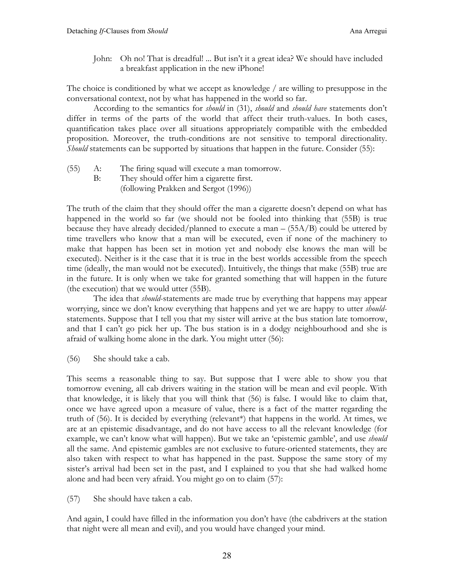John: Oh no! That is dreadful! ... But isn't it a great idea? We should have included a breakfast application in the new iPhone!

The choice is conditioned by what we accept as knowledge / are willing to presuppose in the conversational context, not by what has happened in the world so far.

According to the semantics for *should* in (31), *should* and *should have* statements don't differ in terms of the parts of the world that affect their truth-values. In both cases, quantification takes place over all situations appropriately compatible with the embedded proposition. Moreover, the truth-conditions are not sensitive to temporal directionality. *Should* statements can be supported by situations that happen in the future. Consider (55):

(55) A: The firing squad will execute a man tomorrow.

B: They should offer him a cigarette first. (following Prakken and Sergot (1996))

The truth of the claim that they should offer the man a cigarette doesn't depend on what has happened in the world so far (we should not be fooled into thinking that (55B) is true because they have already decided/planned to execute a man  $-$  (55A/B) could be uttered by time travellers who know that a man will be executed, even if none of the machinery to make that happen has been set in motion yet and nobody else knows the man will be executed). Neither is it the case that it is true in the best worlds accessible from the speech time (ideally, the man would not be executed). Intuitively, the things that make (55B) true are in the future. It is only when we take for granted something that will happen in the future (the execution) that we would utter (55B).

The idea that *should*-statements are made true by everything that happens may appear worrying, since we don't know everything that happens and yet we are happy to utter *should*statements. Suppose that I tell you that my sister will arrive at the bus station late tomorrow, and that I can't go pick her up. The bus station is in a dodgy neighbourhood and she is afraid of walking home alone in the dark. You might utter (56):

(56) She should take a cab.

This seems a reasonable thing to say. But suppose that I were able to show you that tomorrow evening, all cab drivers waiting in the station will be mean and evil people. With that knowledge, it is likely that you will think that (56) is false. I would like to claim that, once we have agreed upon a measure of value, there is a fact of the matter regarding the truth of (56). It is decided by everything (relevant\*) that happens in the world. At times, we are at an epistemic disadvantage, and do not have access to all the relevant knowledge (for example, we can't know what will happen). But we take an 'epistemic gamble', and use *should* all the same. And epistemic gambles are not exclusive to future-oriented statements, they are also taken with respect to what has happened in the past. Suppose the same story of my sister's arrival had been set in the past, and I explained to you that she had walked home alone and had been very afraid. You might go on to claim (57):

(57) She should have taken a cab.

And again, I could have filled in the information you don't have (the cabdrivers at the station that night were all mean and evil), and you would have changed your mind.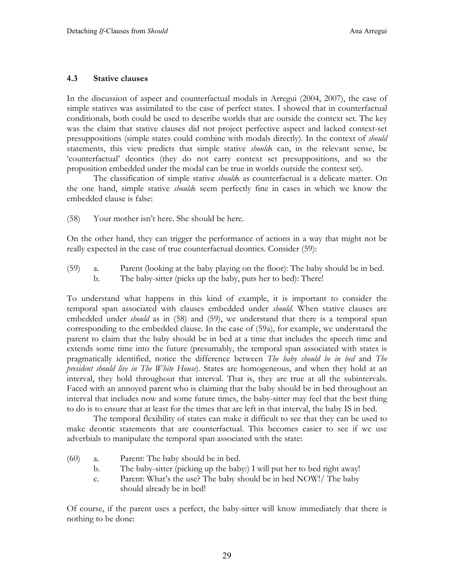#### **4.3 Stative clauses**

In the discussion of aspect and counterfactual modals in Arregui (2004, 2007), the case of simple statives was assimilated to the case of perfect states. I showed that in counterfactual conditionals, both could be used to describe worlds that are outside the context set. The key was the claim that stative clauses did not project perfective aspect and lacked context-set presuppositions (simple states could combine with modals directly). In the context of *should* statements, this view predicts that simple stative *should*s can, in the relevant sense, be 'counterfactual' deontics (they do not carry context set presuppositions, and so the proposition embedded under the modal can be true in worlds outside the context set).

The classification of simple stative *should*s as counterfactual is a delicate matter. On the one hand, simple stative *should*s seem perfectly fine in cases in which we know the embedded clause is false:

(58) Your mother isn't here. She should be here.

On the other hand, they can trigger the performance of actions in a way that might not be really expected in the case of true counterfactual deontics. Consider (59):

(59) a. Parent (looking at the baby playing on the floor): The baby should be in bed. b. The baby-sitter (picks up the baby, puts her to bed): There!

To understand what happens in this kind of example, it is important to consider the temporal span associated with clauses embedded under *should*. When stative clauses are embedded under *should* as in (58) and (59), we understand that there is a temporal span corresponding to the embedded clause. In the case of (59a), for example, we understand the parent to claim that the baby should be in bed at a time that includes the speech time and extends some time into the future (presumably, the temporal span associated with states is pragmatically identified, notice the difference between *The baby should be in bed* and *The president should live in The White House*). States are homogeneous, and when they hold at an interval, they hold throughout that interval. That is, they are true at all the subintervals. Faced with an annoyed parent who is claiming that the baby should be in bed throughout an interval that includes now and some future times, the baby-sitter may feel that the best thing to do is to ensure that at least for the times that are left in that interval, the baby IS in bed.

The temporal flexibility of states can make it difficult to see that they can be used to make deontic statements that are counterfactual. This becomes easier to see if we use adverbials to manipulate the temporal span associated with the state:

- (60) a. Parent: The baby should be in bed.
	- b. The baby-sitter (picking up the baby:) I will put her to bed right away!
	- c. Parent: What's the use? The baby should be in bed NOW!/ The baby should already be in bed!

Of course, if the parent uses a perfect, the baby-sitter will know immediately that there is nothing to be done: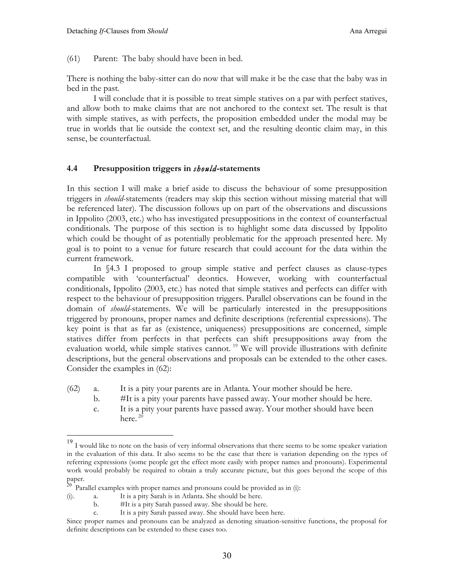(61) Parent: The baby should have been in bed.

There is nothing the baby-sitter can do now that will make it be the case that the baby was in bed in the past.

I will conclude that it is possible to treat simple statives on a par with perfect statives, and allow both to make claims that are not anchored to the context set. The result is that with simple statives, as with perfects, the proposition embedded under the modal may be true in worlds that lie outside the context set, and the resulting deontic claim may, in this sense, be counterfactual.

#### **4.4 Presupposition triggers in** *should***-statements**

In this section I will make a brief aside to discuss the behaviour of some presupposition triggers in *should*-statements (readers may skip this section without missing material that will be referenced later). The discussion follows up on part of the observations and discussions in Ippolito (2003, etc.) who has investigated presuppositions in the context of counterfactual conditionals. The purpose of this section is to highlight some data discussed by Ippolito which could be thought of as potentially problematic for the approach presented here. My goal is to point to a venue for future research that could account for the data within the current framework.

In §4.3 I proposed to group simple stative and perfect clauses as clause-types compatible with 'counterfactual' deontics. However, working with counterfactual conditionals, Ippolito (2003, etc.) has noted that simple statives and perfects can differ with respect to the behaviour of presupposition triggers. Parallel observations can be found in the domain of *should*-statements. We will be particularly interested in the presuppositions triggered by pronouns, proper names and definite descriptions (referential expressions). The key point is that as far as (existence, uniqueness) presuppositions are concerned, simple statives differ from perfects in that perfects can shift presuppositions away from the evaluation world, while simple statives cannot.<sup>19</sup> We will provide illustrations with definite descriptions, but the general observations and proposals can be extended to the other cases. Consider the examples in (62):

- (62) a. It is a pity your parents are in Atlanta. Your mother should be here.
	- b. #It is a pity your parents have passed away. Your mother should be here.
	- c. It is a pity your parents have passed away. Your mother should have been here. $20$

<sup>&</sup>lt;sup>19</sup> I would like to note on the basis of very informal observations that there seems to be some speaker variation in the evaluation of this data. It also seems to be the case that there is variation depending on the types of referring expressions (some people get the effect more easily with proper names and pronouns). Experimental work would probably be required to obtain a truly accurate picture, but this goes beyond the scope of this paper.

 $^{20}$  Parallel examples with proper names and pronouns could be provided as in (i):

<sup>(</sup>i). a. It is a pity Sarah is in Atlanta. She should be here.

b. #It is a pity Sarah passed away. She should be here.

c. It is a pity Sarah passed away. She should have been here.

Since proper names and pronouns can be analyzed as denoting situation-sensitive functions, the proposal for definite descriptions can be extended to these cases too.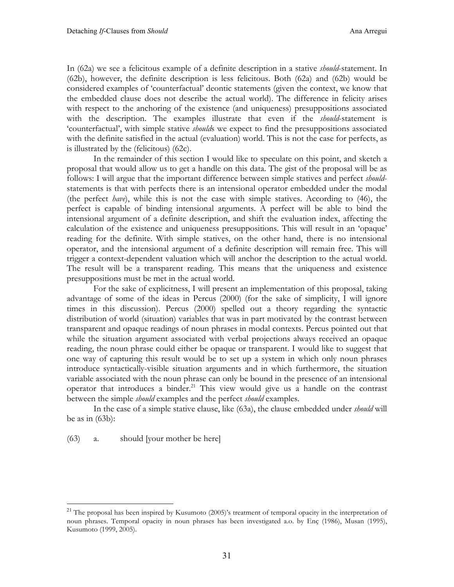In (62a) we see a felicitous example of a definite description in a stative *should*-statement. In (62b), however, the definite description is less felicitous. Both (62a) and (62b) would be considered examples of 'counterfactual' deontic statements (given the context, we know that the embedded clause does not describe the actual world). The difference in felicity arises with respect to the anchoring of the existence (and uniqueness) presuppositions associated with the description. The examples illustrate that even if the *should*-statement is 'counterfactual', with simple stative *should*s we expect to find the presuppositions associated with the definite satisfied in the actual (evaluation) world. This is not the case for perfects, as is illustrated by the (felicitous) (62c).

In the remainder of this section I would like to speculate on this point, and sketch a proposal that would allow us to get a handle on this data. The gist of the proposal will be as follows: I will argue that the important difference between simple statives and perfect *should*statements is that with perfects there is an intensional operator embedded under the modal (the perfect *have*), while this is not the case with simple statives. According to (46), the perfect is capable of binding intensional arguments. A perfect will be able to bind the intensional argument of a definite description, and shift the evaluation index, affecting the calculation of the existence and uniqueness presuppositions. This will result in an 'opaque' reading for the definite. With simple statives, on the other hand, there is no intensional operator, and the intensional argument of a definite description will remain free. This will trigger a context-dependent valuation which will anchor the description to the actual world. The result will be a transparent reading. This means that the uniqueness and existence presuppositions must be met in the actual world.

For the sake of explicitness, I will present an implementation of this proposal, taking advantage of some of the ideas in Percus (2000) (for the sake of simplicity, I will ignore times in this discussion). Percus (2000) spelled out a theory regarding the syntactic distribution of world (situation) variables that was in part motivated by the contrast between transparent and opaque readings of noun phrases in modal contexts. Percus pointed out that while the situation argument associated with verbal projections always received an opaque reading, the noun phrase could either be opaque or transparent. I would like to suggest that one way of capturing this result would be to set up a system in which only noun phrases introduce syntactically-visible situation arguments and in which furthermore, the situation variable associated with the noun phrase can only be bound in the presence of an intensional operator that introduces a binder.<sup>21</sup> This view would give us a handle on the contrast between the simple *should* examples and the perfect *should* examples.

In the case of a simple stative clause, like (63a), the clause embedded under *should* will be as in  $(63b)$ :

(63) a. should [your mother be here]

<sup>&</sup>lt;sup>21</sup> The proposal has been inspired by Kusumoto (2005)'s treatment of temporal opacity in the interpretation of noun phrases. Temporal opacity in noun phrases has been investigated a.o. by Enç (1986), Musan (1995), Kusumoto (1999, 2005).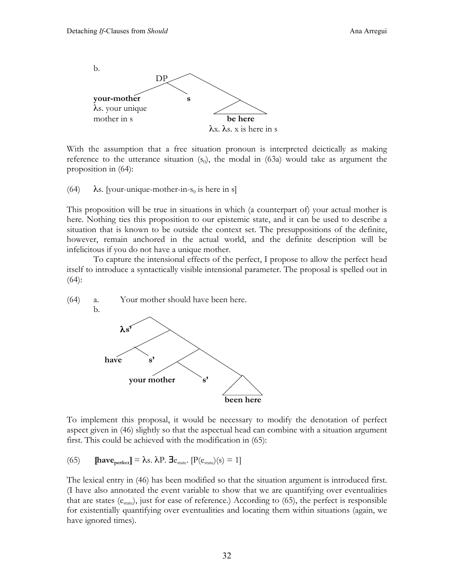

With the assumption that a free situation pronoun is interpreted deictically as making reference to the utterance situation  $(s_0)$ , the modal in  $(63a)$  would take as argument the proposition in (64):

(64)  $\lambda$ s. [your-unique-mother-in-s<sub>0</sub> is here in s]

This proposition will be true in situations in which (a counterpart of) your actual mother is here. Nothing ties this proposition to our epistemic state, and it can be used to describe a situation that is known to be outside the context set. The presuppositions of the definite, however, remain anchored in the actual world, and the definite description will be infelicitous if you do not have a unique mother.

To capture the intensional effects of the perfect, I propose to allow the perfect head itself to introduce a syntactically visible intensional parameter. The proposal is spelled out in (64):



To implement this proposal, it would be necessary to modify the denotation of perfect aspect given in (46) slightly so that the aspectual head can combine with a situation argument first. This could be achieved with the modification in (65):

# (65) **[[have**<sub>perfect</sub>]] =  $\lambda$ s.  $\lambda$ P.  $\exists$ e<sub>state</sub>. [P(e<sub>state</sub>)(s) = 1]

The lexical entry in (46) has been modified so that the situation argument is introduced first. (I have also annotated the event variable to show that we are quantifying over eventualities that are states  $(e_{state})$ , just for ease of reference.) According to (65), the perfect is responsible for existentially quantifying over eventualities and locating them within situations (again, we have ignored times).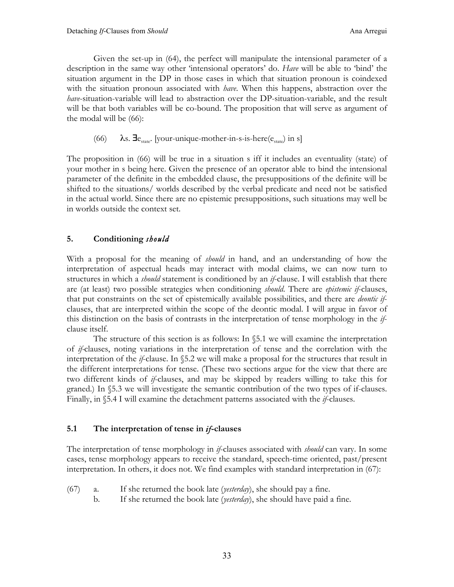Given the set-up in (64), the perfect will manipulate the intensional parameter of a description in the same way other 'intensional operators' do. *Have* will be able to 'bind' the situation argument in the DP in those cases in which that situation pronoun is coindexed with the situation pronoun associated with *have*. When this happens, abstraction over the *have*-situation-variable will lead to abstraction over the DP-situation-variable, and the result will be that both variables will be co-bound. The proposition that will serve as argument of the modal will be (66):

(66)  $\lambda$ s.  $\exists e_{\text{star}}$ . [your-unique-mother-in-s-is-here( $e_{\text{star}}$ ) in s]

The proposition in (66) will be true in a situation s iff it includes an eventuality (state) of your mother in s being here. Given the presence of an operator able to bind the intensional parameter of the definite in the embedded clause, the presuppositions of the definite will be shifted to the situations/ worlds described by the verbal predicate and need not be satisfied in the actual world. Since there are no epistemic presuppositions, such situations may well be in worlds outside the context set.

## **5. Conditioning** *should*

With a proposal for the meaning of *should* in hand, and an understanding of how the interpretation of aspectual heads may interact with modal claims, we can now turn to structures in which a *should* statement is conditioned by an *if*-clause. I will establish that there are (at least) two possible strategies when conditioning *should*. There are *epistemic if*-clauses, that put constraints on the set of epistemically available possibilities, and there are *deontic if*clauses, that are interpreted within the scope of the deontic modal. I will argue in favor of this distinction on the basis of contrasts in the interpretation of tense morphology in the *if*clause itself.

The structure of this section is as follows: In §5.1 we will examine the interpretation of *if-*clauses, noting variations in the interpretation of tense and the correlation with the interpretation of the *if*-clause. In §5.2 we will make a proposal for the structures that result in the different interpretations for tense. (These two sections argue for the view that there are two different kinds of *if*-clauses, and may be skipped by readers willing to take this for graned.) In §5.3 we will investigate the semantic contribution of the two types of if-clauses. Finally, in §5.4 I will examine the detachment patterns associated with the *if*-clauses.

## **5.1 The interpretation of tense in** *if***-clauses**

The interpretation of tense morphology in *if*-clauses associated with *should* can vary. In some cases, tense morphology appears to receive the standard, speech-time oriented, past/present interpretation. In others, it does not. We find examples with standard interpretation in (67):

- (67) a. If she returned the book late (*yesterday*), she should pay a fine.
	- b. If she returned the book late (*yesterday*), she should have paid a fine.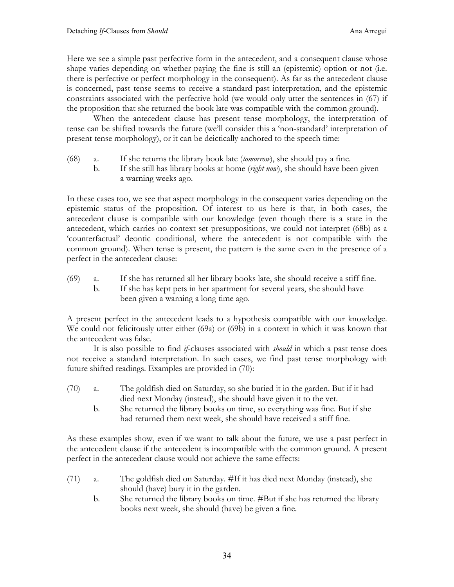Here we see a simple past perfective form in the antecedent, and a consequent clause whose shape varies depending on whether paying the fine is still an (epistemic) option or not (i.e. there is perfective or perfect morphology in the consequent). As far as the antecedent clause is concerned, past tense seems to receive a standard past interpretation, and the epistemic constraints associated with the perfective hold (we would only utter the sentences in (67) if the proposition that she returned the book late was compatible with the common ground).

When the antecedent clause has present tense morphology, the interpretation of tense can be shifted towards the future (we'll consider this a 'non-standard' interpretation of present tense morphology), or it can be deictically anchored to the speech time:

- (68) a. If she returns the library book late (*tomorrow*), she should pay a fine.
	- b. If she still has library books at home (*right now*), she should have been given a warning weeks ago.

In these cases too, we see that aspect morphology in the consequent varies depending on the epistemic status of the proposition. Of interest to us here is that, in both cases, the antecedent clause is compatible with our knowledge (even though there is a state in the antecedent, which carries no context set presuppositions, we could not interpret (68b) as a 'counterfactual' deontic conditional, where the antecedent is not compatible with the common ground). When tense is present, the pattern is the same even in the presence of a perfect in the antecedent clause:

- (69) a. If she has returned all her library books late, she should receive a stiff fine.
	- b. If she has kept pets in her apartment for several years, she should have been given a warning a long time ago.

A present perfect in the antecedent leads to a hypothesis compatible with our knowledge. We could not felicitously utter either (69a) or (69b) in a context in which it was known that the antecedent was false.

It is also possible to find *if*-clauses associated with *should* in which a past tense does not receive a standard interpretation. In such cases, we find past tense morphology with future shifted readings. Examples are provided in (70):

- (70) a. The goldfish died on Saturday, so she buried it in the garden. But if it had died next Monday (instead), she should have given it to the vet.
	- b. She returned the library books on time, so everything was fine. But if she had returned them next week, she should have received a stiff fine.

As these examples show, even if we want to talk about the future, we use a past perfect in the antecedent clause if the antecedent is incompatible with the common ground. A present perfect in the antecedent clause would not achieve the same effects:

- (71) a. The goldfish died on Saturday. #If it has died next Monday (instead), she should (have) bury it in the garden.
	- b. She returned the library books on time. #But if she has returned the library books next week, she should (have) be given a fine.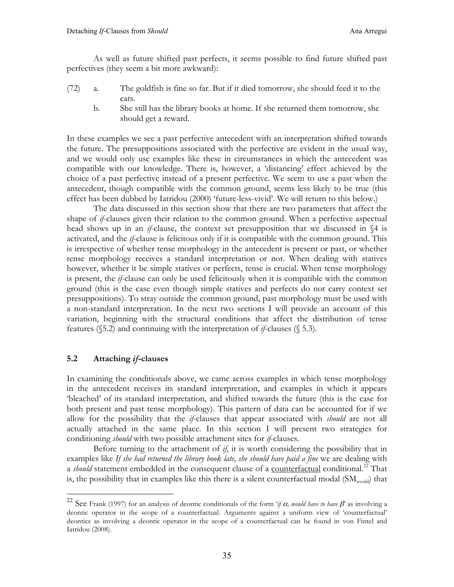As well as future shifted past perfects, it seems possible to find future shifted past perfectives (they seem a bit more awkward):

- (72) a. The goldfish is fine so far. But if it died tomorrow, she should feed it to the cats.
	- b. She still has the library books at home. If she returned them tomorrow, she should get a reward.

In these examples we see a past perfective antecedent with an interpretation shifted towards the future. The presuppositions associated with the perfective are evident in the usual way, and we would only use examples like these in circumstances in which the antecedent was compatible with our knowledge. There is, however, a 'distancing' effect achieved by the choice of a past perfective instead of a present perfective. We seem to use a past when the antecedent, though compatible with the common ground, seems less likely to be true (this effect has been dubbed by Iatridou (2000) 'future-less-vivid'. We will return to this below.)

The data discussed in this section show that there are two parameters that affect the shape of *if*-clauses given their relation to the common ground. When a perfective aspectual head shows up in an *if*-clause, the context set presupposition that we discussed in §4 is activated, and the *if*-clause is felicitous only if it is compatible with the common ground. This is irrespective of whether tense morphology in the antecedent is present or past, or whether tense morphology receives a standard interpretation or not. When dealing with statives however, whether it be simple statives or perfects, tense is crucial. When tense morphology is present, the *if*-clause can only be used felicitously when it is compatible with the common ground (this is the case even though simple statives and perfects do not carry context set presuppositions). To stray outside the common ground, past morphology must be used with a non-standard interpretation. In the next two sections I will provide an account of this variation, beginning with the structural conditions that affect the distribution of tense features (§5.2) and continuing with the interpretation of *if*-clauses (§ 5.3).

## **5.2 Attaching** *if***-clauses**

In examining the conditionals above, we came across examples in which tense morphology in the antecedent receives its standard interpretation, and examples in which it appears 'bleached' of its standard interpretation, and shifted towards the future (this is the case for both present and past tense morphology). This pattern of data can be accounted for if we allow for the possibility that the *if*-clauses that appear associated with *should* are not all actually attached in the same place. In this section I will present two strategies for conditioning *should* with two possible attachment sites for *if*-clauses.

Before turning to the attachment of *if*, it is worth considering the possibility that in examples like *If she had returned the library book late, she should have paid a fine* we are dealing with a *should* statement embedded in the consequent clause of a counterfactual conditional.<sup>22</sup> That is, the possibility that in examples like this there is a silent counterfactual modal  $(SM_{\text{would}})$  that

<sup>&</sup>lt;sup>22</sup> See Frank (1997) for an analysis of deontic conditionals of the form '*if*  $\alpha$ *, would have to have*  $\beta$ ' as involving a deontic operator in the scope of a counterfactual. Arguments against a uniform view of 'counterfactual' deontics as involving a deontic operator in the scope of a counterfactual can be found in von Fintel and Iatridou (2008).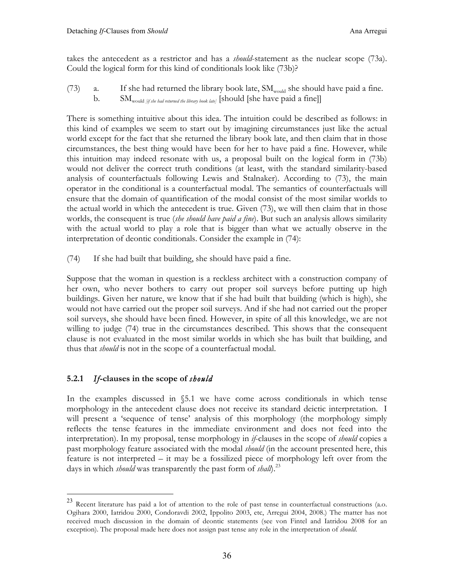takes the antecedent as a restrictor and has a *should*-statement as the nuclear scope (73a). Could the logical form for this kind of conditionals look like (73b)?

(73) a. If she had returned the library book late,  $SM_{\text{would}}$  she should have paid a fine. b. SMwould *[if she had returned the library book late]* [should [she have paid a fine]]

There is something intuitive about this idea. The intuition could be described as follows: in this kind of examples we seem to start out by imagining circumstances just like the actual world except for the fact that she returned the library book late, and then claim that in those circumstances, the best thing would have been for her to have paid a fine. However, while this intuition may indeed resonate with us, a proposal built on the logical form in (73b) would not deliver the correct truth conditions (at least, with the standard similarity-based analysis of counterfactuals following Lewis and Stalnaker). According to (73), the main operator in the conditional is a counterfactual modal. The semantics of counterfactuals will ensure that the domain of quantification of the modal consist of the most similar worlds to the actual world in which the antecedent is true. Given (73), we will then claim that in those worlds, the consequent is true (*she should have paid a fine*). But such an analysis allows similarity with the actual world to play a role that is bigger than what we actually observe in the interpretation of deontic conditionals. Consider the example in (74):

(74) If she had built that building, she should have paid a fine.

Suppose that the woman in question is a reckless architect with a construction company of her own, who never bothers to carry out proper soil surveys before putting up high buildings. Given her nature, we know that if she had built that building (which is high), she would not have carried out the proper soil surveys. And if she had not carried out the proper soil surveys, she should have been fined. However, in spite of all this knowledge, we are not willing to judge (74) true in the circumstances described. This shows that the consequent clause is not evaluated in the most similar worlds in which she has built that building, and thus that *should* is not in the scope of a counterfactual modal.

# **5.2.1** *If***-clauses in the scope of** *should*

In the examples discussed in §5.1 we have come across conditionals in which tense morphology in the antecedent clause does not receive its standard deictic interpretation. I will present a 'sequence of tense' analysis of this morphology (the morphology simply reflects the tense features in the immediate environment and does not feed into the interpretation). In my proposal, tense morphology in *if*-clauses in the scope of *should* copies a past morphology feature associated with the modal *should* (in the account presented here, this feature is not interpreted – it may be a fossilized piece of morphology left over from the days in which *should* was transparently the past form of *shall*).<sup>23</sup>

 <sup>23</sup> Recent literature has paid a lot of attention to the role of past tense in counterfactual constructions (a.o. Ogihara 2000, Iatridou 2000, Condoravdi 2002, Ippolito 2003, etc, Arregui 2004, 2008.) The matter has not received much discussion in the domain of deontic statements (see von Fintel and Iatridou 2008 for an exception). The proposal made here does not assign past tense any role in the interpretation of *should*.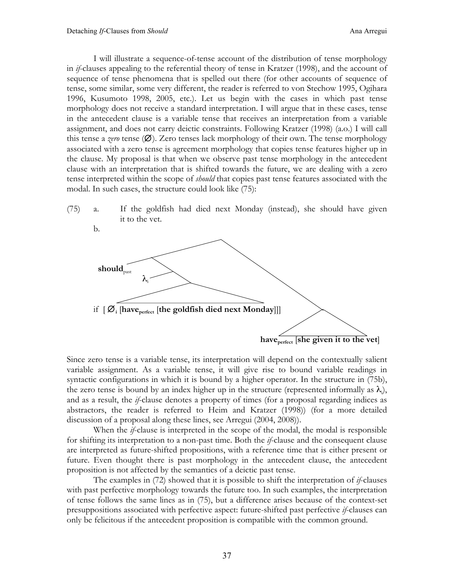I will illustrate a sequence-of-tense account of the distribution of tense morphology in *if*-clauses appealing to the referential theory of tense in Kratzer (1998), and the account of sequence of tense phenomena that is spelled out there (for other accounts of sequence of tense, some similar, some very different, the reader is referred to von Stechow 1995, Ogihara 1996, Kusumoto 1998, 2005, etc.). Let us begin with the cases in which past tense morphology does not receive a standard interpretation. I will argue that in these cases, tense in the antecedent clause is a variable tense that receives an interpretation from a variable assignment, and does not carry deictic constraints. Following Kratzer (1998) (a.o.) I will call this tense a *zero* tense (∅). Zero tenses lack morphology of their own. The tense morphology associated with a zero tense is agreement morphology that copies tense features higher up in the clause. My proposal is that when we observe past tense morphology in the antecedent clause with an interpretation that is shifted towards the future, we are dealing with a zero tense interpreted within the scope of *should* that copies past tense features associated with the modal. In such cases, the structure could look like (75):

(75) a. If the goldfish had died next Monday (instead), she should have given it to the vet.



Since zero tense is a variable tense, its interpretation will depend on the contextually salient variable assignment. As a variable tense, it will give rise to bound variable readings in syntactic configurations in which it is bound by a higher operator. In the structure in (75b), the zero tense is bound by an index higher up in the structure (represented informally as  $\lambda_i$ ), and as a result, the *if*-clause denotes a property of times (for a proposal regarding indices as abstractors, the reader is referred to Heim and Kratzer (1998)) (for a more detailed discussion of a proposal along these lines, see Arregui (2004, 2008)).

When the *if*-clause is interpreted in the scope of the modal, the modal is responsible for shifting its interpretation to a non-past time. Both the *if*-clause and the consequent clause are interpreted as future-shifted propositions, with a reference time that is either present or future. Even thought there is past morphology in the antecedent clause, the antecedent proposition is not affected by the semantics of a deictic past tense.

The examples in (72) showed that it is possible to shift the interpretation of *if*-clauses with past perfective morphology towards the future too. In such examples, the interpretation of tense follows the same lines as in (75), but a difference arises because of the context-set presuppositions associated with perfective aspect: future-shifted past perfective *if*-clauses can only be felicitous if the antecedent proposition is compatible with the common ground.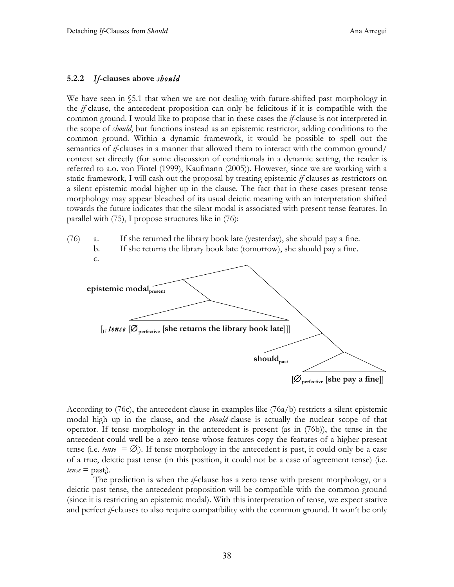#### **5.2.2** *If***-clauses above** *should*

We have seen in \$5.1 that when we are not dealing with future-shifted past morphology in the *if*-clause, the antecedent proposition can only be felicitous if it is compatible with the common ground. I would like to propose that in these cases the *if*-clause is not interpreted in the scope of *should*, but functions instead as an epistemic restrictor, adding conditions to the common ground. Within a dynamic framework, it would be possible to spell out the semantics of *if*-clauses in a manner that allowed them to interact with the common ground/ context set directly (for some discussion of conditionals in a dynamic setting, the reader is referred to a.o. von Fintel (1999), Kaufmann (2005)). However, since we are working with a static framework, I will cash out the proposal by treating epistemic *if*-clauses as restrictors on a silent epistemic modal higher up in the clause. The fact that in these cases present tense morphology may appear bleached of its usual deictic meaning with an interpretation shifted towards the future indicates that the silent modal is associated with present tense features. In parallel with (75), I propose structures like in (76):



According to  $(76c)$ , the antecedent clause in examples like  $(76a/b)$  restricts a silent epistemic modal high up in the clause, and the *should*-clause is actually the nuclear scope of that operator. If tense morphology in the antecedent is present (as in (76b)), the tense in the antecedent could well be a zero tense whose features copy the features of a higher present tense (i.e. *tense* =  $\emptyset$ ). If tense morphology in the antecedent is past, it could only be a case of a true, deictic past tense (in this position, it could not be a case of agreement tense) (i.e.  $tense = past_i$ .

The prediction is when the *if*-clause has a zero tense with present morphology, or a deictic past tense, the antecedent proposition will be compatible with the common ground (since it is restricting an epistemic modal). With this interpretation of tense, we expect stative and perfect *if*-clauses to also require compatibility with the common ground. It won't be only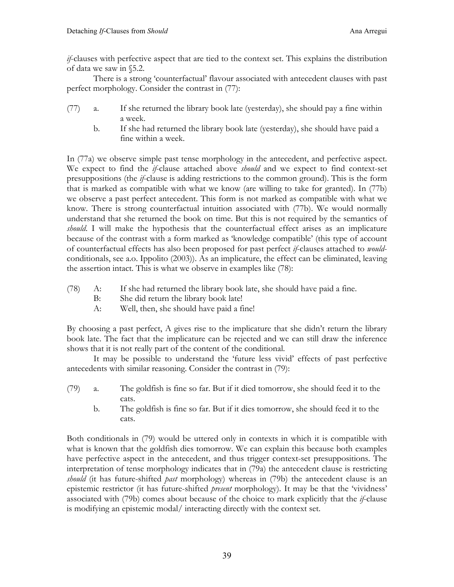*if*-clauses with perfective aspect that are tied to the context set. This explains the distribution of data we saw in §5.2.

There is a strong 'counterfactual' flavour associated with antecedent clauses with past perfect morphology. Consider the contrast in (77):

- (77) a. If she returned the library book late (yesterday), she should pay a fine within a week.
	- b. If she had returned the library book late (yesterday), she should have paid a fine within a week.

In (77a) we observe simple past tense morphology in the antecedent, and perfective aspect. We expect to find the *if*-clause attached above *should* and we expect to find context-set presuppositions (the *if*-clause is adding restrictions to the common ground). This is the form that is marked as compatible with what we know (are willing to take for granted). In (77b) we observe a past perfect antecedent. This form is not marked as compatible with what we know. There is strong counterfactual intuition associated with (77b). We would normally understand that she returned the book on time. But this is not required by the semantics of *should*. I will make the hypothesis that the counterfactual effect arises as an implicature because of the contrast with a form marked as 'knowledge compatible' (this type of account of counterfactual effects has also been proposed for past perfect *if*-clauses attached to *would*conditionals, see a.o. Ippolito (2003)). As an implicature, the effect can be eliminated, leaving the assertion intact. This is what we observe in examples like (78):

- (78) A: If she had returned the library book late, she should have paid a fine.
	- B: She did return the library book late!
	- A: Well, then, she should have paid a fine!

By choosing a past perfect, A gives rise to the implicature that she didn't return the library book late. The fact that the implicature can be rejected and we can still draw the inference shows that it is not really part of the content of the conditional.

It may be possible to understand the 'future less vivid' effects of past perfective antecedents with similar reasoning. Consider the contrast in (79):

- (79) a. The goldfish is fine so far. But if it died tomorrow, she should feed it to the cats.
	- b. The goldfish is fine so far. But if it dies tomorrow, she should feed it to the cats.

Both conditionals in (79) would be uttered only in contexts in which it is compatible with what is known that the goldfish dies tomorrow. We can explain this because both examples have perfective aspect in the antecedent, and thus trigger context-set presuppositions. The interpretation of tense morphology indicates that in (79a) the antecedent clause is restricting *should* (it has future-shifted *past* morphology) whereas in (79b) the antecedent clause is an epistemic restrictor (it has future-shifted *present* morphology). It may be that the 'vividness' associated with (79b) comes about because of the choice to mark explicitly that the *if*-clause is modifying an epistemic modal/ interacting directly with the context set.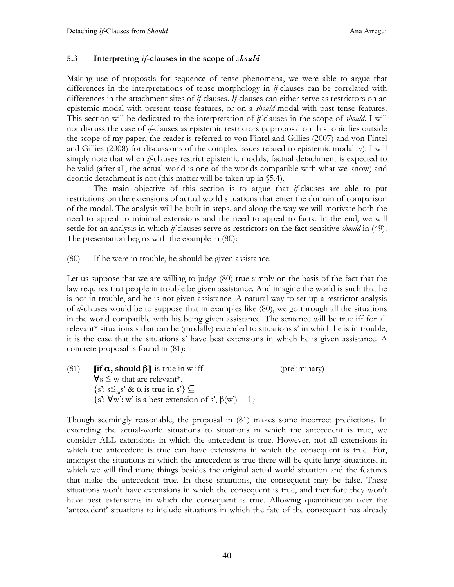#### **5.3 Interpreting** *if***-clauses in the scope of** *should*

Making use of proposals for sequence of tense phenomena, we were able to argue that differences in the interpretations of tense morphology in *if*-clauses can be correlated with differences in the attachment sites of *if*-clauses. *If*-clauses can either serve as restrictors on an epistemic modal with present tense features, or on a *should*-modal with past tense features. This section will be dedicated to the interpretation of *if*-clauses in the scope of *should*. I will not discuss the case of *if*-clauses as epistemic restrictors (a proposal on this topic lies outside the scope of my paper, the reader is referred to von Fintel and Gillies (2007) and von Fintel and Gillies (2008) for discussions of the complex issues related to epistemic modality). I will simply note that when *if*-clauses restrict epistemic modals, factual detachment is expected to be valid (after all, the actual world is one of the worlds compatible with what we know) and deontic detachment is not (this matter will be taken up in §5.4).

The main objective of this section is to argue that *if*-clauses are able to put restrictions on the extensions of actual world situations that enter the domain of comparison of the modal. The analysis will be built in steps, and along the way we will motivate both the need to appeal to minimal extensions and the need to appeal to facts. In the end, we will settle for an analysis in which *if*-clauses serve as restrictors on the fact-sensitive *should* in (49). The presentation begins with the example in (80):

(80) If he were in trouble, he should be given assistance.

Let us suppose that we are willing to judge (80) true simply on the basis of the fact that the law requires that people in trouble be given assistance. And imagine the world is such that he is not in trouble, and he is not given assistance. A natural way to set up a restrictor-analysis of *if*-clauses would be to suppose that in examples like (80), we go through all the situations in the world compatible with his being given assistance. The sentence will be true iff for all relevant\* situations s that can be (modally) extended to situations s' in which he is in trouble, it is the case that the situations s' have best extensions in which he is given assistance. A concrete proposal is found in (81):

(81) **[if**  $\alpha$ **, should**  $\beta$ ] is true in w iff (preliminary)  $\forall s \leq w$  that are relevant<sup>\*</sup>,  $\{s: s\leq_{m}s' \& \alpha \text{ is true in } s'\}\subseteq$  $\{s' : \forall w' : w' \text{ is a best extension of } s', \beta(w') = 1\}$ 

Though seemingly reasonable, the proposal in (81) makes some incorrect predictions. In extending the actual-world situations to situations in which the antecedent is true, we consider ALL extensions in which the antecedent is true. However, not all extensions in which the antecedent is true can have extensions in which the consequent is true. For, amongst the situations in which the antecedent is true there will be quite large situations, in which we will find many things besides the original actual world situation and the features that make the antecedent true. In these situations, the consequent may be false. These situations won't have extensions in which the consequent is true, and therefore they won't have best extensions in which the consequent is true. Allowing quantification over the 'antecedent' situations to include situations in which the fate of the consequent has already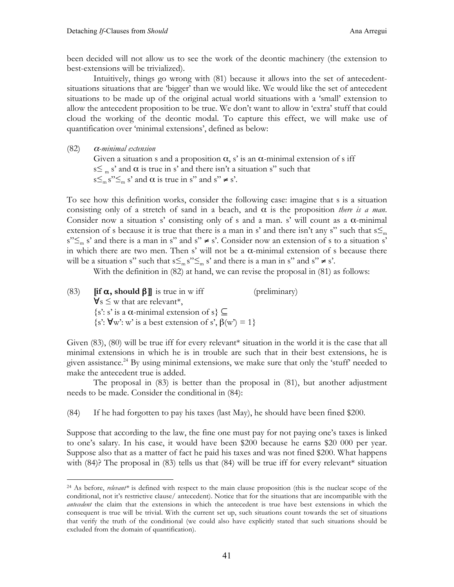been decided will not allow us to see the work of the deontic machinery (the extension to best-extensions will be trivialized).

Intuitively, things go wrong with (81) because it allows into the set of antecedentsituations situations that are 'bigger' than we would like. We would like the set of antecedent situations to be made up of the original actual world situations with a 'small' extension to allow the antecedent proposition to be true. We don't want to allow in 'extra' stuff that could cloud the working of the deontic modal. To capture this effect, we will make use of quantification over 'minimal extensions', defined as below:

(82) <sup>α</sup>*-minimal extension*

 $\overline{a}$ 

Given a situation s and a proposition  $\alpha$ , s' is an  $\alpha$ -minimal extension of s iff s  $\leq$   $\leq$  s' and  $\alpha$  is true in s' and there isn't a situation s'' such that  $s\leq_m s''\leq_m s'$  and  $\alpha$  is true in s" and  $s'' \neq s'$ .

To see how this definition works, consider the following case: imagine that s is a situation consisting only of a stretch of sand in a beach, and  $\alpha$  is the proposition *there is a man*. Consider now a situation s' consisting only of s and a man. s' will count as a α-minimal extension of s because it is true that there is a man in s' and there isn't any s" such that  $s\leq_m$ s" $\leq_m$  s' and there is a man in s" and s"  $\neq$  s'. Consider now an extension of s to a situation s' in which there are two men. Then s' will not be a  $\alpha$ -minimal extension of s because there will be a situation s" such that  $s \leq_m s'' \leq_m s'$  and there is a man in s" and s"  $\neq s'$ .

With the definition in (82) at hand, we can revise the proposal in (81) as follows:

(83) **[if**  $\alpha$ **, should**  $\beta$ ] is true in w iff (preliminary)  $\forall s \leq w$  that are relevant<sup>\*</sup>,  $\{s: s' \text{ is a } \alpha\text{-minimal extension of } s\} \subseteq$  $\{s' : \forall w' : w' \text{ is a best extension of } s', \beta(w') = 1\}$ 

Given (83), (80) will be true iff for every relevant<sup>\*</sup> situation in the world it is the case that all minimal extensions in which he is in trouble are such that in their best extensions, he is given assistance.<sup>24</sup> By using minimal extensions, we make sure that only the 'stuff' needed to make the antecedent true is added.

The proposal in (83) is better than the proposal in (81), but another adjustment needs to be made. Consider the conditional in (84):

(84) If he had forgotten to pay his taxes (last May), he should have been fined \$200.

Suppose that according to the law, the fine one must pay for not paying one's taxes is linked to one's salary. In his case, it would have been \$200 because he earns \$20 000 per year. Suppose also that as a matter of fact he paid his taxes and was not fined \$200. What happens with  $(84)$ ? The proposal in  $(83)$  tells us that  $(84)$  will be true iff for every relevant\* situation

<sup>24</sup> As before, *relevant\** is defined with respect to the main clause proposition (this is the nuclear scope of the conditional, not it's restrictive clause/ antecedent). Notice that for the situations that are incompatible with the *antecedent* the claim that the extensions in which the antecedent is true have best extensions in which the consequent is true will be trivial. With the current set up, such situations count towards the set of situations that verify the truth of the conditional (we could also have explicitly stated that such situations should be excluded from the domain of quantification).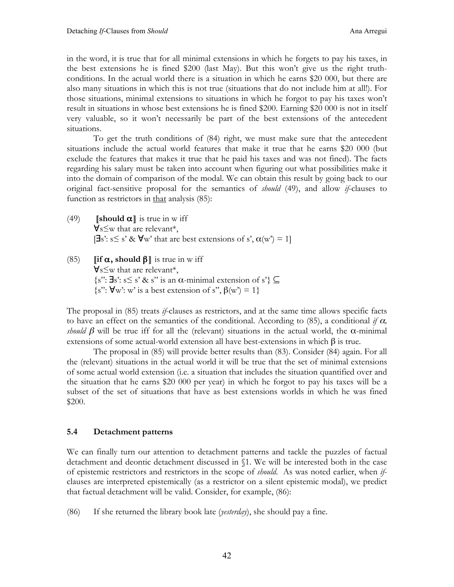in the word, it is true that for all minimal extensions in which he forgets to pay his taxes, in the best extensions he is fined \$200 (last May). But this won't give us the right truthconditions. In the actual world there is a situation in which he earns \$20 000, but there are also many situations in which this is not true (situations that do not include him at all!). For those situations, minimal extensions to situations in which he forgot to pay his taxes won't result in situations in whose best extensions he is fined \$200. Earning \$20 000 is not in itself very valuable, so it won't necessarily be part of the best extensions of the antecedent situations.

To get the truth conditions of (84) right, we must make sure that the antecedent situations include the actual world features that make it true that he earns \$20 000 (but exclude the features that makes it true that he paid his taxes and was not fined). The facts regarding his salary must be taken into account when figuring out what possibilities make it into the domain of comparison of the modal. We can obtain this result by going back to our original fact-sensitive proposal for the semantics of *should* (49), and allow *if*-clauses to function as restrictors in that analysis (85):

- (49) **[should**  $\alpha$ ] is true in w iff ∀s≤w that are relevant\*,  $[\exists s': s \le s' \& \forall w'$  that are best extensions of s',  $\alpha(w') = 1$ ]
- (85) **i iif**  $\alpha$ **, should**  $\beta$  is true in w iff ∀s≤w that are relevant\*,  $\{s'': \exists s': s \leq s' \& s'' \text{ is an $\alpha$-minimal extension of } s' \}$  $\{s'': \forall w': w' \text{ is a best extension of } s'', \beta(w') = 1\}$

The proposal in (85) treats *if*-clauses as restrictors, and at the same time allows specific facts to have an effect on the semantics of the conditional. According to (85), a conditional *if*  $\alpha$ , *should β* will be true iff for all the (relevant) situations in the actual world, the  $\alpha$ -minimal extensions of some actual-world extension all have best-extensions in which  $β$  is true.

The proposal in (85) will provide better results than (83). Consider (84) again. For all the (relevant) situations in the actual world it will be true that the set of minimal extensions of some actual world extension (i.e. a situation that includes the situation quantified over and the situation that he earns \$20 000 per year) in which he forgot to pay his taxes will be a subset of the set of situations that have as best extensions worlds in which he was fined \$200.

## **5.4 Detachment patterns**

We can finally turn our attention to detachment patterns and tackle the puzzles of factual detachment and deontic detachment discussed in §1. We will be interested both in the case of epistemic restrictors and restrictors in the scope of *should*. As was noted earlier, when *if*clauses are interpreted epistemically (as a restrictor on a silent epistemic modal), we predict that factual detachment will be valid. Consider, for example, (86):

(86) If she returned the library book late (*yesterday*), she should pay a fine.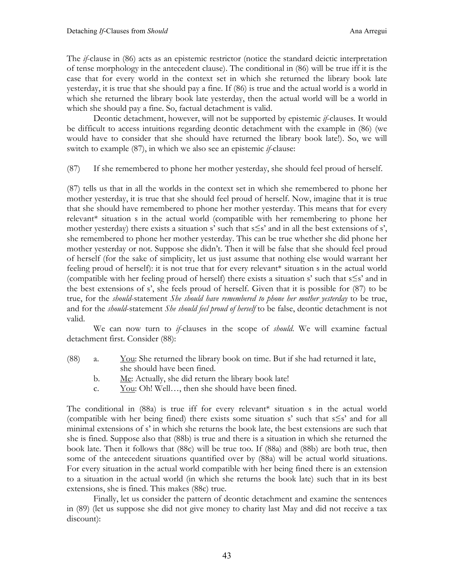The *if*-clause in (86) acts as an epistemic restrictor (notice the standard deictic interpretation of tense morphology in the antecedent clause). The conditional in (86) will be true iff it is the case that for every world in the context set in which she returned the library book late yesterday, it is true that she should pay a fine. If (86) is true and the actual world is a world in which she returned the library book late yesterday, then the actual world will be a world in which she should pay a fine. So, factual detachment is valid.

Deontic detachment, however, will not be supported by epistemic *if*-clauses. It would be difficult to access intuitions regarding deontic detachment with the example in (86) (we would have to consider that she should have returned the library book late!). So, we will switch to example (87), in which we also see an epistemic *if*-clause:

(87) If she remembered to phone her mother yesterday, she should feel proud of herself.

(87) tells us that in all the worlds in the context set in which she remembered to phone her mother yesterday, it is true that she should feel proud of herself. Now, imagine that it is true that she should have remembered to phone her mother yesterday. This means that for every relevant\* situation s in the actual world (compatible with her remembering to phone her mother yesterday) there exists a situation s' such that  $s \leq s'$  and in all the best extensions of s', she remembered to phone her mother yesterday. This can be true whether she did phone her mother yesterday or not. Suppose she didn't. Then it will be false that she should feel proud of herself (for the sake of simplicity, let us just assume that nothing else would warrant her feeling proud of herself): it is not true that for every relevant\* situation s in the actual world (compatible with her feeling proud of herself) there exists a situation s' such that s≤s' and in the best extensions of s', she feels proud of herself. Given that it is possible for (87) to be true, for the *should*-statement *She should have remembered to phone her mother yesterday* to be true, and for the *should*-statement *She should feel proud of herself* to be false, deontic detachment is not valid.

We can now turn to *if*-clauses in the scope of *should*. We will examine factual detachment first. Consider (88):

- (88) a. You: She returned the library book on time. But if she had returned it late, she should have been fined.
	- b. Me: Actually, she did return the library book late!
	- c. You: Oh! Well..., then she should have been fined.

The conditional in (88a) is true iff for every relevant\* situation s in the actual world (compatible with her being fined) there exists some situation s' such that s≤s' and for all minimal extensions of s' in which she returns the book late, the best extensions are such that she is fined. Suppose also that (88b) is true and there is a situation in which she returned the book late. Then it follows that (88c) will be true too. If (88a) and (88b) are both true, then some of the antecedent situations quantified over by (88a) will be actual world situations. For every situation in the actual world compatible with her being fined there is an extension to a situation in the actual world (in which she returns the book late) such that in its best extensions, she is fined. This makes (88c) true.

Finally, let us consider the pattern of deontic detachment and examine the sentences in (89) (let us suppose she did not give money to charity last May and did not receive a tax discount):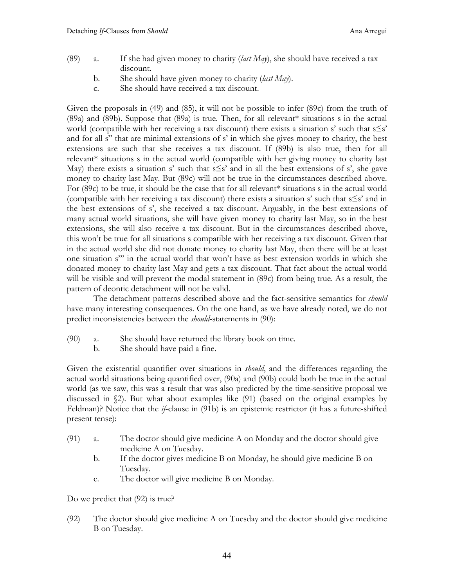- (89) a. If she had given money to charity (*last May*), she should have received a tax discount.
	- b. She should have given money to charity (*last May*).
	- c. She should have received a tax discount.

Given the proposals in (49) and (85), it will not be possible to infer (89c) from the truth of (89a) and (89b). Suppose that (89a) is true. Then, for all relevant\* situations s in the actual world (compatible with her receiving a tax discount) there exists a situation s' such that  $s\leq s'$ and for all s" that are minimal extensions of s' in which she gives money to charity, the best extensions are such that she receives a tax discount. If (89b) is also true, then for all relevant\* situations s in the actual world (compatible with her giving money to charity last May) there exists a situation s' such that  $s \leq s'$  and in all the best extensions of s', she gave money to charity last May. But (89c) will not be true in the circumstances described above. For (89c) to be true, it should be the case that for all relevant<sup>\*</sup> situations s in the actual world (compatible with her receiving a tax discount) there exists a situation s' such that s≤s' and in the best extensions of s', she received a tax discount. Arguably, in the best extensions of many actual world situations, she will have given money to charity last May, so in the best extensions, she will also receive a tax discount. But in the circumstances described above, this won't be true for all situations s compatible with her receiving a tax discount. Given that in the actual world she did not donate money to charity last May, then there will be at least one situation s"' in the actual world that won't have as best extension worlds in which she donated money to charity last May and gets a tax discount. That fact about the actual world will be visible and will prevent the modal statement in (89c) from being true. As a result, the pattern of deontic detachment will not be valid.

The detachment patterns described above and the fact-sensitive semantics for *should* have many interesting consequences. On the one hand, as we have already noted, we do not predict inconsistencies between the *should*-statements in (90):

- (90) a. She should have returned the library book on time.
	- b. She should have paid a fine.

Given the existential quantifier over situations in *should*, and the differences regarding the actual world situations being quantified over, (90a) and (90b) could both be true in the actual world (as we saw, this was a result that was also predicted by the time-sensitive proposal we discussed in §2). But what about examples like (91) (based on the original examples by Feldman)? Notice that the *if*-clause in (91b) is an epistemic restrictor (it has a future-shifted present tense):

- (91) a. The doctor should give medicine A on Monday and the doctor should give medicine A on Tuesday.
	- b. If the doctor gives medicine B on Monday, he should give medicine B on Tuesday.
	- c. The doctor will give medicine B on Monday.

Do we predict that (92) is true?

(92) The doctor should give medicine A on Tuesday and the doctor should give medicine B on Tuesday.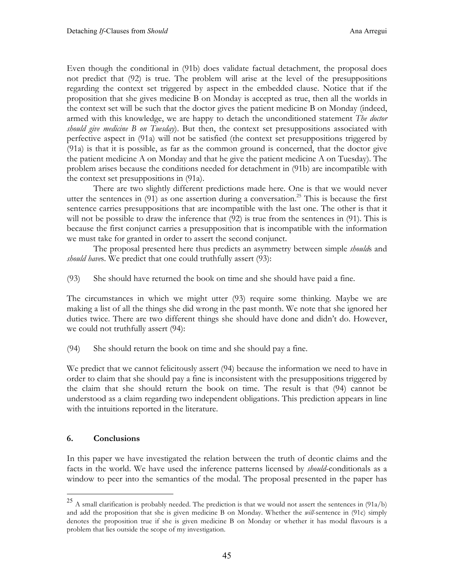Even though the conditional in (91b) does validate factual detachment, the proposal does not predict that (92) is true. The problem will arise at the level of the presuppositions regarding the context set triggered by aspect in the embedded clause. Notice that if the proposition that she gives medicine B on Monday is accepted as true, then all the worlds in the context set will be such that the doctor gives the patient medicine B on Monday (indeed, armed with this knowledge, we are happy to detach the unconditioned statement *The doctor should give medicine B on Tuesday*). But then, the context set presuppositions associated with perfective aspect in (91a) will not be satisfied (the context set presuppositions triggered by (91a) is that it is possible, as far as the common ground is concerned, that the doctor give the patient medicine A on Monday and that he give the patient medicine A on Tuesday). The problem arises because the conditions needed for detachment in (91b) are incompatible with the context set presuppositions in (91a).

There are two slightly different predictions made here. One is that we would never utter the sentences in  $(91)$  as one assertion during a conversation.<sup>25</sup> This is because the first sentence carries presuppositions that are incompatible with the last one. The other is that it will not be possible to draw the inference that (92) is true from the sentences in (91). This is because the first conjunct carries a presupposition that is incompatible with the information we must take for granted in order to assert the second conjunct.

The proposal presented here thus predicts an asymmetry between simple *should*s and *should have*s. We predict that one could truthfully assert (93):

(93) She should have returned the book on time and she should have paid a fine.

The circumstances in which we might utter (93) require some thinking. Maybe we are making a list of all the things she did wrong in the past month. We note that she ignored her duties twice. There are two different things she should have done and didn't do. However, we could not truthfully assert (94):

(94) She should return the book on time and she should pay a fine.

We predict that we cannot felicitously assert (94) because the information we need to have in order to claim that she should pay a fine is inconsistent with the presuppositions triggered by the claim that she should return the book on time. The result is that (94) cannot be understood as a claim regarding two independent obligations. This prediction appears in line with the intuitions reported in the literature.

## **6. Conclusions**

In this paper we have investigated the relation between the truth of deontic claims and the facts in the world. We have used the inference patterns licensed by *should*-conditionals as a window to peer into the semantics of the modal. The proposal presented in the paper has

<sup>&</sup>lt;sup>25</sup> A small clarification is probably needed. The prediction is that we would not assert the sentences in (91a/b) and add the proposition that she is given medicine B on Monday. Whether the *will*-sentence in (91c) simply denotes the proposition true if she is given medicine B on Monday or whether it has modal flavours is a problem that lies outside the scope of my investigation.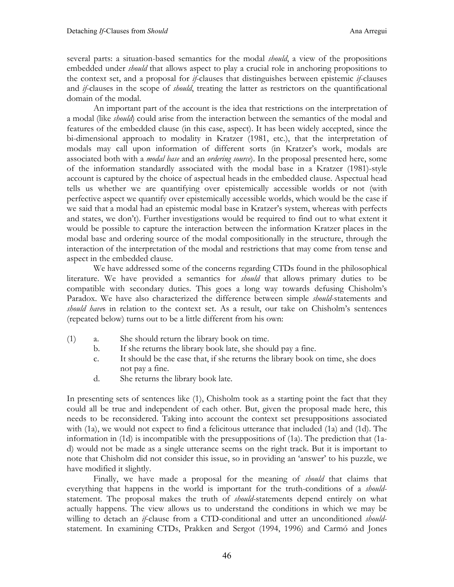several parts: a situation-based semantics for the modal *should*, a view of the propositions embedded under *should* that allows aspect to play a crucial role in anchoring propositions to the context set, and a proposal for *if*-clauses that distinguishes between epistemic *if*-clauses and *if*-clauses in the scope of *should*, treating the latter as restrictors on the quantificational domain of the modal.

An important part of the account is the idea that restrictions on the interpretation of a modal (like *should*) could arise from the interaction between the semantics of the modal and features of the embedded clause (in this case, aspect). It has been widely accepted, since the bi-dimensional approach to modality in Kratzer (1981, etc.), that the interpretation of modals may call upon information of different sorts (in Kratzer's work, modals are associated both with a *modal base* and an *ordering source*). In the proposal presented here, some of the information standardly associated with the modal base in a Kratzer (1981)-style account is captured by the choice of aspectual heads in the embedded clause. Aspectual head tells us whether we are quantifying over epistemically accessible worlds or not (with perfective aspect we quantify over epistemically accessible worlds, which would be the case if we said that a modal had an epistemic modal base in Kratzer's system, whereas with perfects and states, we don't). Further investigations would be required to find out to what extent it would be possible to capture the interaction between the information Kratzer places in the modal base and ordering source of the modal compositionally in the structure, through the interaction of the interpretation of the modal and restrictions that may come from tense and aspect in the embedded clause.

We have addressed some of the concerns regarding CTDs found in the philosophical literature. We have provided a semantics for *should* that allows primary duties to be compatible with secondary duties. This goes a long way towards defusing Chisholm's Paradox. We have also characterized the difference between simple *should*-statements and *should have*s in relation to the context set. As a result, our take on Chisholm's sentences (repeated below) turns out to be a little different from his own:

- (1) a. She should return the library book on time.
	- b. If she returns the library book late, she should pay a fine.
	- c. It should be the case that, if she returns the library book on time, she does not pay a fine.
	- d. She returns the library book late.

In presenting sets of sentences like (1), Chisholm took as a starting point the fact that they could all be true and independent of each other. But, given the proposal made here, this needs to be reconsidered. Taking into account the context set presuppositions associated with (1a), we would not expect to find a felicitous utterance that included (1a) and (1d). The information in (1d) is incompatible with the presuppositions of (1a). The prediction that (1ad) would not be made as a single utterance seems on the right track. But it is important to note that Chisholm did not consider this issue, so in providing an 'answer' to his puzzle, we have modified it slightly.

Finally, we have made a proposal for the meaning of *should* that claims that everything that happens in the world is important for the truth-conditions of a *should*statement. The proposal makes the truth of *should*-statements depend entirely on what actually happens. The view allows us to understand the conditions in which we may be willing to detach an *if*-clause from a CTD-conditional and utter an unconditioned *should*statement. In examining CTDs, Prakken and Sergot (1994, 1996) and Carmó and Jones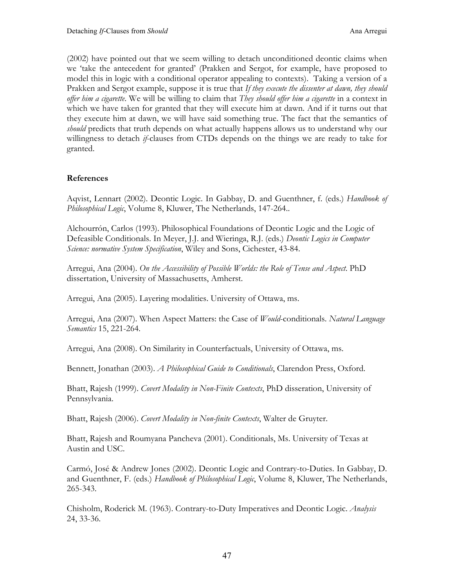(2002) have pointed out that we seem willing to detach unconditioned deontic claims when we 'take the antecedent for granted' (Prakken and Sergot, for example, have proposed to model this in logic with a conditional operator appealing to contexts). Taking a version of a Prakken and Sergot example, suppose it is true that *If they execute the dissenter at dawn, they should offer him a cigarette*. We will be willing to claim that *They should offer him a cigarette* in a context in which we have taken for granted that they will execute him at dawn. And if it turns out that they execute him at dawn, we will have said something true. The fact that the semantics of *should* predicts that truth depends on what actually happens allows us to understand why our willingness to detach *if*-clauses from CTDs depends on the things we are ready to take for granted.

# **References**

Aqvist, Lennart (2002). Deontic Logic. In Gabbay, D. and Guenthner, f. (eds.) *Handbook of Philosophical Logic*, Volume 8, Kluwer, The Netherlands, 147-264..

Alchourrón, Carlos (1993). Philosophical Foundations of Deontic Logic and the Logic of Defeasible Conditionals. In Meyer, J.J. and Wieringa, R.J. (eds.) *Deontic Logics in Computer Science: normative System Specification*, Wiley and Sons, Cichester, 43-84.

Arregui, Ana (2004). *On the Accessibility of Possible Worlds: the Role of Tense and Aspect*. PhD dissertation, University of Massachusetts, Amherst.

Arregui, Ana (2005). Layering modalities. University of Ottawa, ms.

Arregui, Ana (2007). When Aspect Matters: the Case of *Would*-conditionals. *Natural Language Semantics* 15, 221-264.

Arregui, Ana (2008). On Similarity in Counterfactuals, University of Ottawa, ms.

Bennett, Jonathan (2003). *A Philosophical Guide to Conditionals*, Clarendon Press, Oxford.

Bhatt, Rajesh (1999). *Covert Modality in Non-Finite Contexts*, PhD disseration, University of Pennsylvania.

Bhatt, Rajesh (2006). *Covert Modality in Non-finite Contexts*, Walter de Gruyter.

Bhatt, Rajesh and Roumyana Pancheva (2001). Conditionals, Ms. University of Texas at Austin and USC.

Carmó, José & Andrew Jones (2002). Deontic Logic and Contrary-to-Duties. In Gabbay, D. and Guenthner, F. (eds.) *Handbook of Philosophical Logic*, Volume 8, Kluwer, The Netherlands, 265-343.

Chisholm, Roderick M. (1963). Contrary-to-Duty Imperatives and Deontic Logic. *Analysis* 24, 33-36.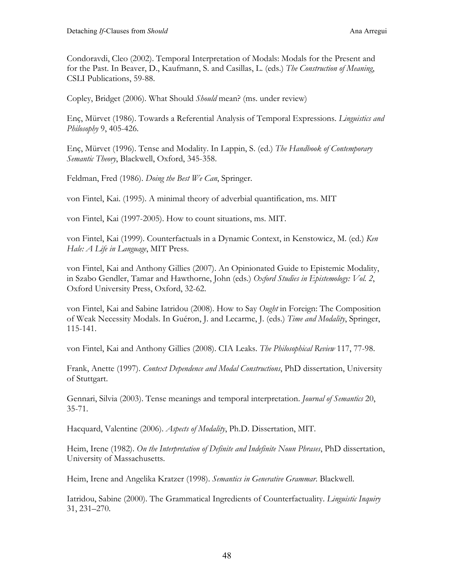Condoravdi, Cleo (2002). Temporal Interpretation of Modals: Modals for the Present and for the Past. In Beaver, D., Kaufmann, S. and Casillas, L. (eds.) *The Construction of Meaning*, CSLI Publications, 59-88.

Copley, Bridget (2006). What Should *Should* mean? (ms. under review)

Enç, Mürvet (1986). Towards a Referential Analysis of Temporal Expressions. *Linguistics and Philosophy* 9, 405-426.

Enç, Mürvet (1996). Tense and Modality. In Lappin, S. (ed.) *The Handbook of Contemporary Semantic Theory*, Blackwell, Oxford, 345-358.

Feldman, Fred (1986). *Doing the Best We Can*, Springer.

von Fintel, Kai. (1995). A minimal theory of adverbial quantification, ms. MIT

von Fintel, Kai (1997-2005). How to count situations, ms. MIT.

von Fintel, Kai (1999). Counterfactuals in a Dynamic Context, in Kenstowicz, M. (ed.) *Ken Hale: A Life in Language*, MIT Press.

von Fintel, Kai and Anthony Gillies (2007). An Opinionated Guide to Epistemic Modality, in Szabo Gendler, Tamar and Hawthorne, John (eds.) *Oxford Studies in Epistemology: Vol. 2*, Oxford University Press, Oxford, 32-62.

von Fintel, Kai and Sabine Iatridou (2008). How to Say *Ought* in Foreign: The Composition of Weak Necessity Modals. In Guéron, J. and Lecarme, J. (eds.) *Time and Modality*, Springer, 115-141.

von Fintel, Kai and Anthony Gillies (2008). CIA Leaks. *The Philosophical Review* 117, 77-98.

Frank, Anette (1997). *Context Dependence and Modal Constructions*, PhD dissertation, University of Stuttgart.

Gennari, Silvia (2003). Tense meanings and temporal interpretation. *Journal of Semantics* 20, 35-71.

Hacquard, Valentine (2006). *Aspects of Modality*, Ph.D. Dissertation, MIT.

Heim, Irene (1982). *On the Interpretation of Definite and Indefinite Noun Phrases*, PhD dissertation, University of Massachusetts.

Heim, Irene and Angelika Kratzer (1998). *Semantics in Generative Grammar*. Blackwell.

Iatridou, Sabine (2000). The Grammatical Ingredients of Counterfactuality. *Linguistic Inquiry*  31, 231–270.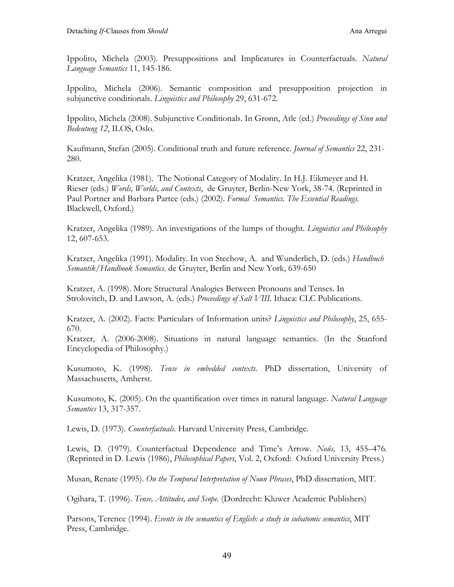Ippolito, Michela (2003). Presuppositions and Implicatures in Counterfactuals. *Natural Language Semantics* 11, 145-186.

Ippolito, Michela (2006). Semantic composition and presupposition projection in subjunctive conditionals. *Linguistics and Philosophy* 29, 631-672.

Ippolito, Michela (2008). Subjunctive Conditionals. In Grønn, Atle (ed.) *Proceedings of Sinn und Bedeutung 12*, ILOS, Oslo.

Kaufmann, Stefan (2005). Conditional truth and future reference. *Journal of Semantics* 22, 231- 280.

Kratzer, Angelika (1981). The Notional Category of Modality. In H.J. Eikmeyer and H. Rieser (eds.) *Words, Worlds, and Contexts*, de Gruyter, Berlin-New York, 38-74. (Reprinted in Paul Portner and Barbara Partee (eds.) (2002). *Formal Semantics. The Essential Readings*. Blackwell, Oxford.)

Kratzer, Angelika (1989). An investigations of the lumps of thought. *Linguistics and Philosophy* 12, 607-653.

Kratzer, Angelika (1991). Modality. In von Stechow, A. and Wunderlich, D. (eds.) *Handbuch Semantik/Handbook Semantics*. de Gruyter, Berlin and New York, 639-650

Kratzer, A. (1998). More Structural Analogies Between Pronouns and Tenses. In Strolovitch, D. and Lawson, A. (eds.) *Proceedings of Salt VIII*. Ithaca: CLC Publications.

Kratzer, A. (2002). Facts: Particulars of Information units? *Linguistics and Philosophy*, 25, 655- 670.

Kratzer, A. (2006-2008). Situations in natural language semantics. (In the Stanford Encyclopedia of Philosophy.)

Kusumoto, K. (1998). *Tense in embedded contexts.* PhD dissertation, University of Massachusetts, Amherst.

Kusumoto, K. (2005). On the quantification over times in natural language. *Natural Language Semantics* 13, 317-357.

Lewis, D. (1973). *Counterfactuals*. Harvard University Press, Cambridge.

Lewis, D. (1979). Counterfactual Dependence and Time's Arrow. *Noûs,* 13, 455–476. (Reprinted in D. Lewis (1986), *Philosophical Papers*, Vol. 2, Oxford: Oxford University Press.)

Musan, Renate (1995). *On the Temporal Interpretation of Noun Phrases*, PhD dissertation, MIT.

Ogihara, T. (1996). *Tense, Attitudes, and Scope*. (Dordrecht: Kluwer Academic Publishers)

Parsons, Terence (1994). *Events in the semantics of English: a study in subatomic semantics*, MIT Press, Cambridge.